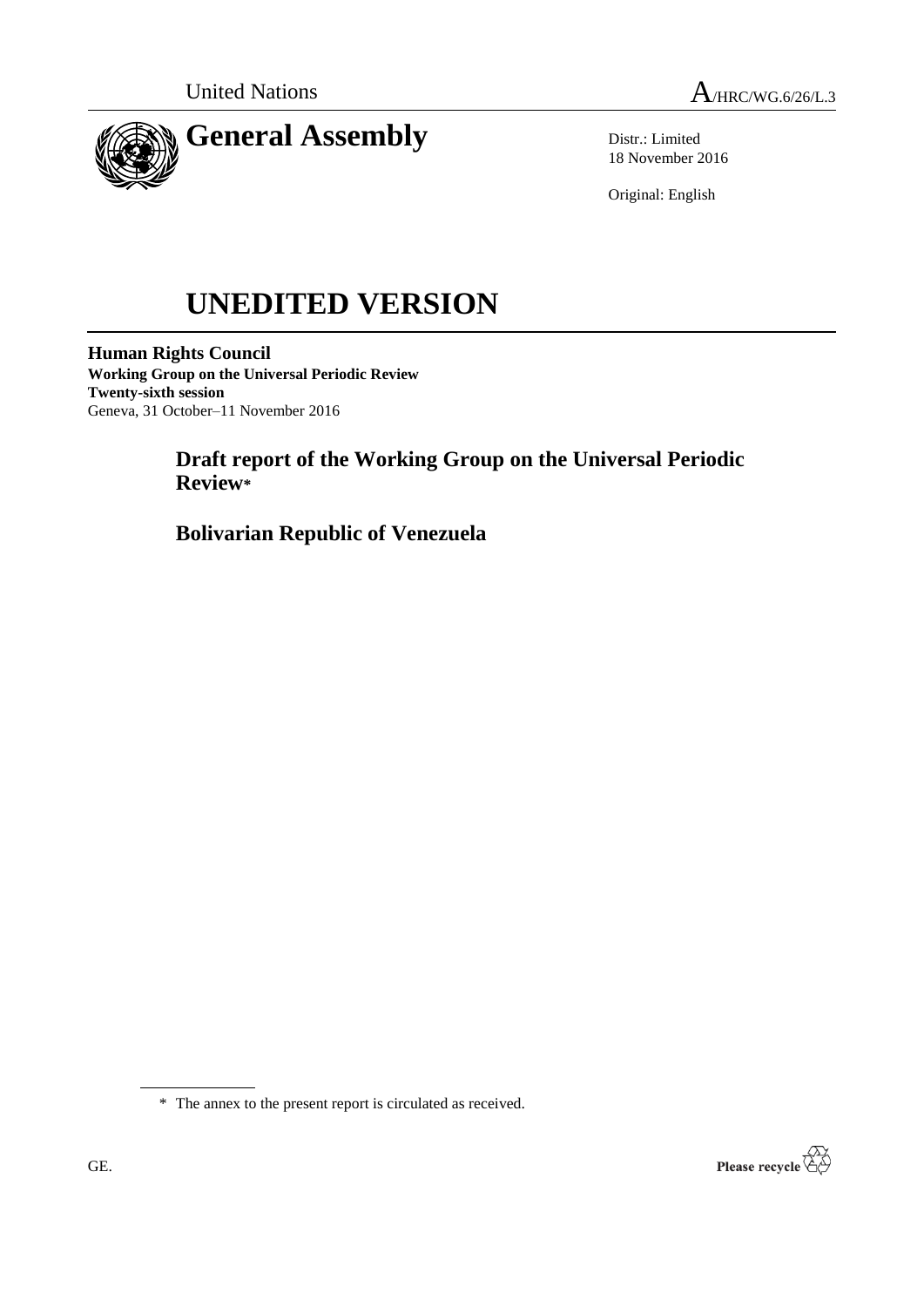



Distr.: Limited 18 November 2016

Original: English

# **UNEDITED VERSION**

**Human Rights Council Working Group on the Universal Periodic Review Twenty-sixth session** Geneva, 31 October–11 November 2016

# **Draft report of the Working Group on the Universal Periodic Review\***

**Bolivarian Republic of Venezuela**



<sup>\*</sup> The annex to the present report is circulated as received.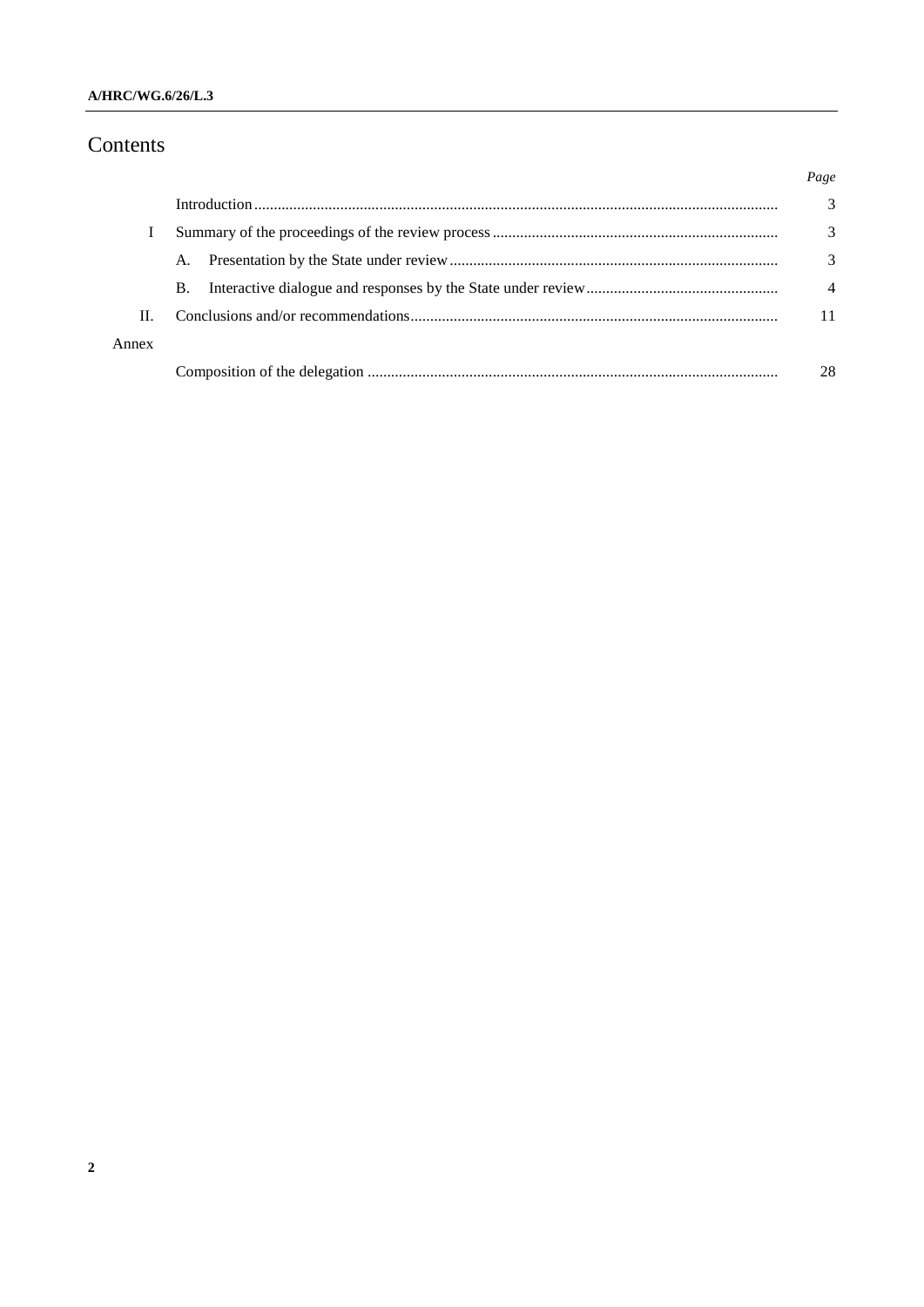## **A/HRC/WG.6/26/L.3**

# Contents

|       |           | Page |
|-------|-----------|------|
|       |           | 3    |
|       |           | 3    |
|       | A.        | 3    |
|       | <b>B.</b> | 4    |
| H.    |           |      |
| Annex |           |      |
|       |           | 28   |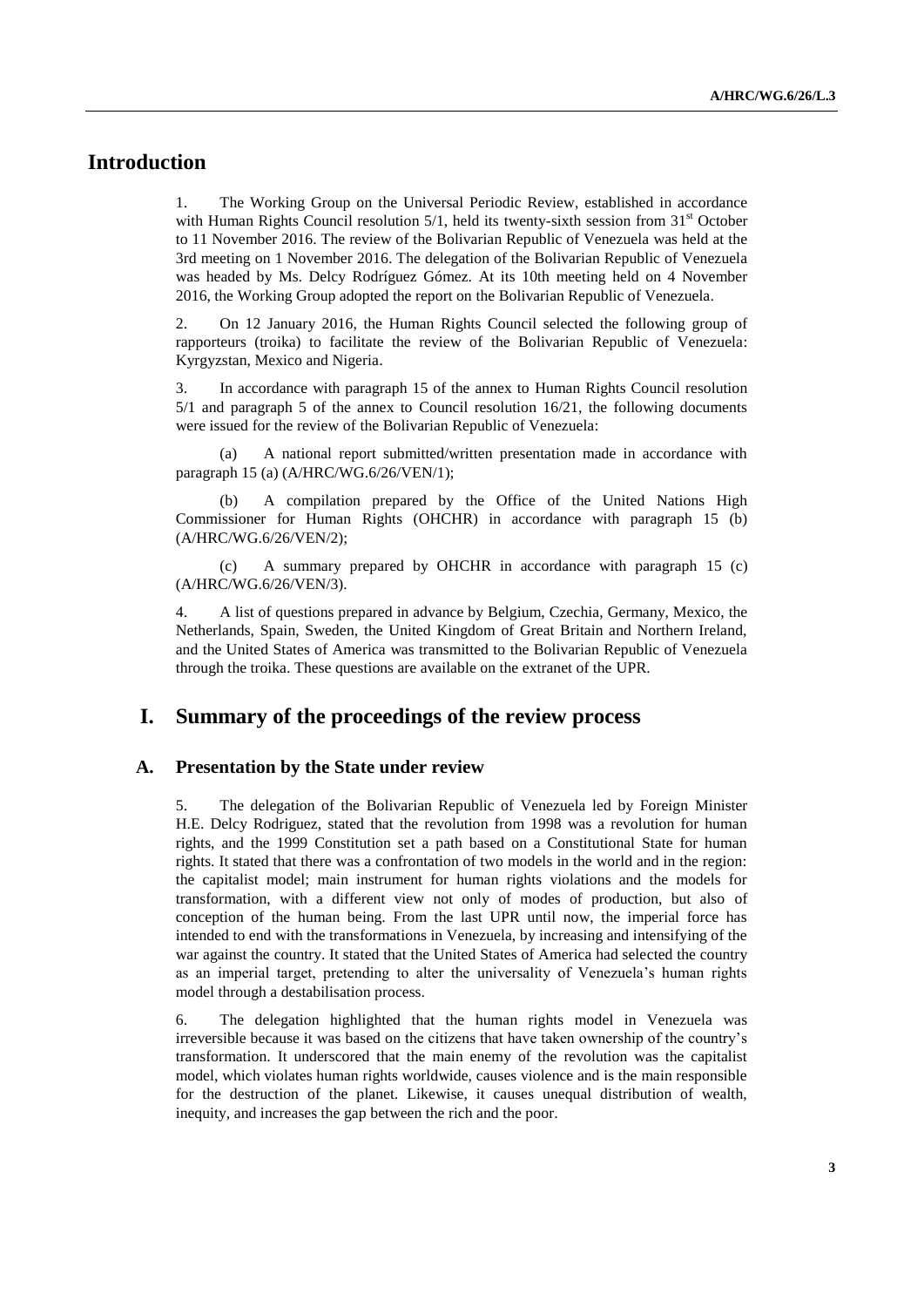## **Introduction**

1. The Working Group on the Universal Periodic Review, established in accordance with Human Rights Council resolution  $5/1$ , held its twenty-sixth session from  $31<sup>st</sup>$  October to 11 November 2016. The review of the Bolivarian Republic of Venezuela was held at the 3rd meeting on 1 November 2016. The delegation of the Bolivarian Republic of Venezuela was headed by Ms. Delcy Rodríguez Gómez. At its 10th meeting held on 4 November 2016, the Working Group adopted the report on the Bolivarian Republic of Venezuela.

2. On 12 January 2016, the Human Rights Council selected the following group of rapporteurs (troika) to facilitate the review of the Bolivarian Republic of Venezuela: Kyrgyzstan, Mexico and Nigeria.

3. In accordance with paragraph 15 of the annex to Human Rights Council resolution 5/1 and paragraph 5 of the annex to Council resolution 16/21, the following documents were issued for the review of the Bolivarian Republic of Venezuela:

(a) A national report submitted/written presentation made in accordance with paragraph 15 (a) (A/HRC/WG.6/26/VEN/1);

(b) A compilation prepared by the Office of the United Nations High Commissioner for Human Rights (OHCHR) in accordance with paragraph 15 (b) (A/HRC/WG.6/26/VEN/2);

(c) A summary prepared by OHCHR in accordance with paragraph 15 (c) (A/HRC/WG.6/26/VEN/3).

4. A list of questions prepared in advance by Belgium, Czechia, Germany, Mexico, the Netherlands, Spain, Sweden, the United Kingdom of Great Britain and Northern Ireland, and the United States of America was transmitted to the Bolivarian Republic of Venezuela through the troika. These questions are available on the extranet of the UPR.

## **I. Summary of the proceedings of the review process**

#### **A. Presentation by the State under review**

5. The delegation of the Bolivarian Republic of Venezuela led by Foreign Minister H.E. Delcy Rodriguez, stated that the revolution from 1998 was a revolution for human rights, and the 1999 Constitution set a path based on a Constitutional State for human rights. It stated that there was a confrontation of two models in the world and in the region: the capitalist model; main instrument for human rights violations and the models for transformation, with a different view not only of modes of production, but also of conception of the human being. From the last UPR until now, the imperial force has intended to end with the transformations in Venezuela, by increasing and intensifying of the war against the country. It stated that the United States of America had selected the country as an imperial target, pretending to alter the universality of Venezuela's human rights model through a destabilisation process.

6. The delegation highlighted that the human rights model in Venezuela was irreversible because it was based on the citizens that have taken ownership of the country's transformation. It underscored that the main enemy of the revolution was the capitalist model, which violates human rights worldwide, causes violence and is the main responsible for the destruction of the planet. Likewise, it causes unequal distribution of wealth, inequity, and increases the gap between the rich and the poor.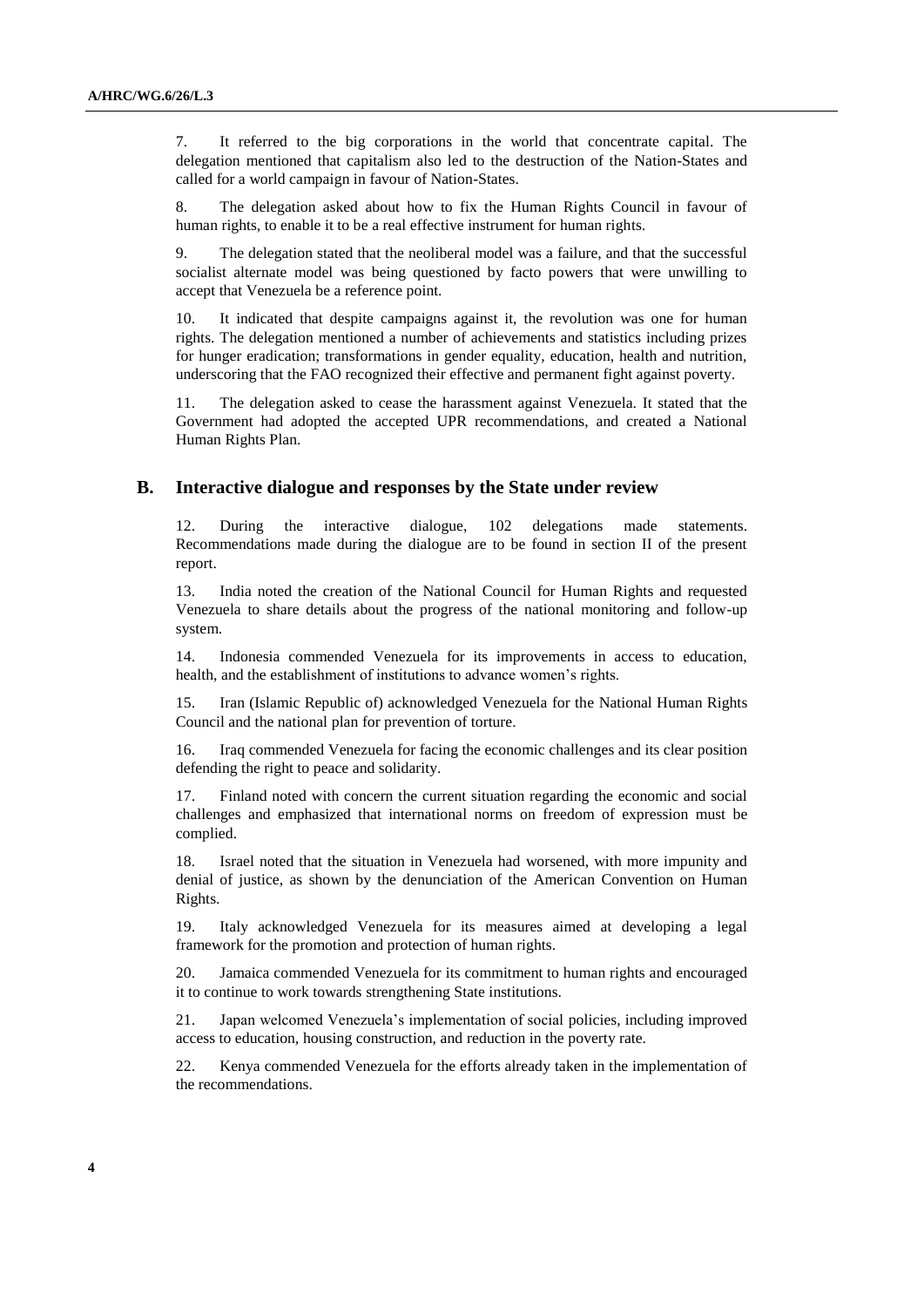7. It referred to the big corporations in the world that concentrate capital. The delegation mentioned that capitalism also led to the destruction of the Nation-States and called for a world campaign in favour of Nation-States.

8. The delegation asked about how to fix the Human Rights Council in favour of human rights, to enable it to be a real effective instrument for human rights.

9. The delegation stated that the neoliberal model was a failure, and that the successful socialist alternate model was being questioned by facto powers that were unwilling to accept that Venezuela be a reference point.

10. It indicated that despite campaigns against it, the revolution was one for human rights. The delegation mentioned a number of achievements and statistics including prizes for hunger eradication; transformations in gender equality, education, health and nutrition, underscoring that the FAO recognized their effective and permanent fight against poverty.

11. The delegation asked to cease the harassment against Venezuela. It stated that the Government had adopted the accepted UPR recommendations, and created a National Human Rights Plan.

#### **B. Interactive dialogue and responses by the State under review**

12. During the interactive dialogue, 102 delegations made statements. Recommendations made during the dialogue are to be found in section II of the present report.

13. India noted the creation of the National Council for Human Rights and requested Venezuela to share details about the progress of the national monitoring and follow-up system.

14. Indonesia commended Venezuela for its improvements in access to education, health, and the establishment of institutions to advance women's rights.

15. Iran (Islamic Republic of) acknowledged Venezuela for the National Human Rights Council and the national plan for prevention of torture.

16. Iraq commended Venezuela for facing the economic challenges and its clear position defending the right to peace and solidarity.

17. Finland noted with concern the current situation regarding the economic and social challenges and emphasized that international norms on freedom of expression must be complied.

18. Israel noted that the situation in Venezuela had worsened, with more impunity and denial of justice, as shown by the denunciation of the American Convention on Human Rights.

19. Italy acknowledged Venezuela for its measures aimed at developing a legal framework for the promotion and protection of human rights.

20. Jamaica commended Venezuela for its commitment to human rights and encouraged it to continue to work towards strengthening State institutions.

21. Japan welcomed Venezuela's implementation of social policies, including improved access to education, housing construction, and reduction in the poverty rate.

22. Kenya commended Venezuela for the efforts already taken in the implementation of the recommendations.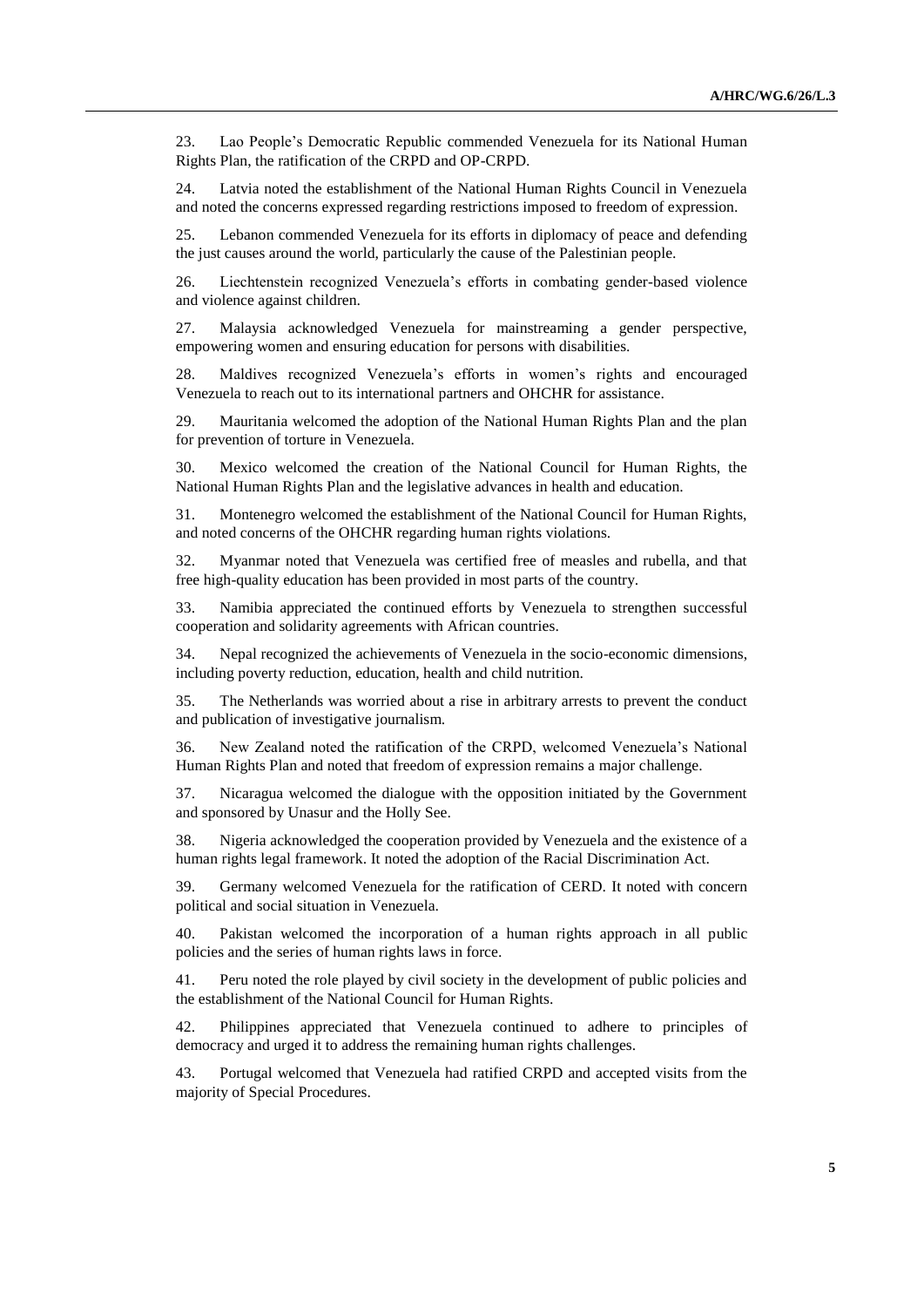23. Lao People's Democratic Republic commended Venezuela for its National Human Rights Plan, the ratification of the CRPD and OP-CRPD.

24. Latvia noted the establishment of the National Human Rights Council in Venezuela and noted the concerns expressed regarding restrictions imposed to freedom of expression.

25. Lebanon commended Venezuela for its efforts in diplomacy of peace and defending the just causes around the world, particularly the cause of the Palestinian people.

26. Liechtenstein recognized Venezuela's efforts in combating gender-based violence and violence against children.

27. Malaysia acknowledged Venezuela for mainstreaming a gender perspective, empowering women and ensuring education for persons with disabilities.

28. Maldives recognized Venezuela's efforts in women's rights and encouraged Venezuela to reach out to its international partners and OHCHR for assistance.

29. Mauritania welcomed the adoption of the National Human Rights Plan and the plan for prevention of torture in Venezuela.

30. Mexico welcomed the creation of the National Council for Human Rights, the National Human Rights Plan and the legislative advances in health and education.

31. Montenegro welcomed the establishment of the National Council for Human Rights, and noted concerns of the OHCHR regarding human rights violations.

32. Myanmar noted that Venezuela was certified free of measles and rubella, and that free high-quality education has been provided in most parts of the country.

33. Namibia appreciated the continued efforts by Venezuela to strengthen successful cooperation and solidarity agreements with African countries.

34. Nepal recognized the achievements of Venezuela in the socio-economic dimensions, including poverty reduction, education, health and child nutrition.

35. The Netherlands was worried about a rise in arbitrary arrests to prevent the conduct and publication of investigative journalism.

36. New Zealand noted the ratification of the CRPD, welcomed Venezuela's National Human Rights Plan and noted that freedom of expression remains a major challenge.

37. Nicaragua welcomed the dialogue with the opposition initiated by the Government and sponsored by Unasur and the Holly See.

38. Nigeria acknowledged the cooperation provided by Venezuela and the existence of a human rights legal framework. It noted the adoption of the Racial Discrimination Act.

39. Germany welcomed Venezuela for the ratification of CERD. It noted with concern political and social situation in Venezuela.

40. Pakistan welcomed the incorporation of a human rights approach in all public policies and the series of human rights laws in force.

41. Peru noted the role played by civil society in the development of public policies and the establishment of the National Council for Human Rights.

42. Philippines appreciated that Venezuela continued to adhere to principles of democracy and urged it to address the remaining human rights challenges.

43. Portugal welcomed that Venezuela had ratified CRPD and accepted visits from the majority of Special Procedures.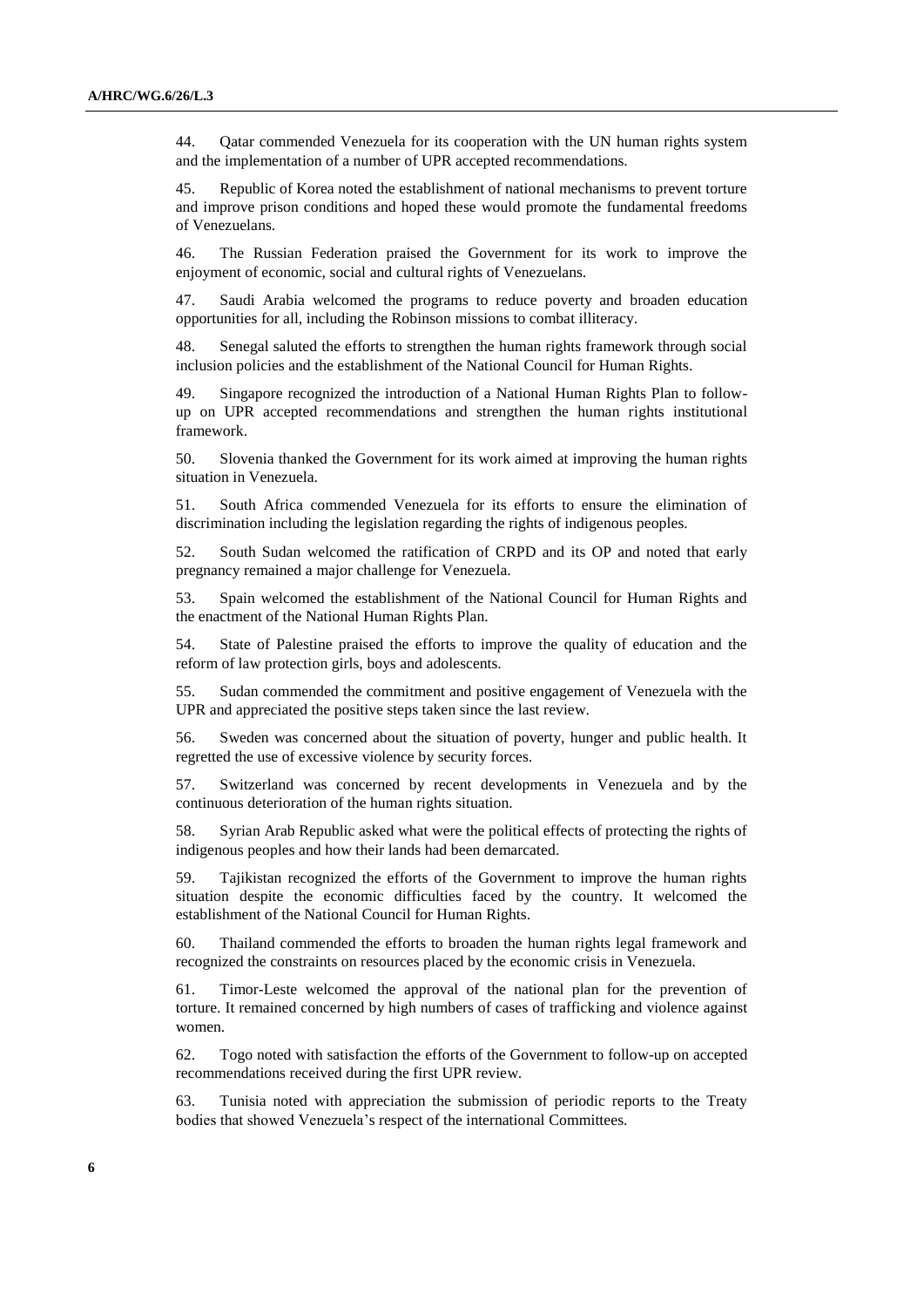44. Qatar commended Venezuela for its cooperation with the UN human rights system and the implementation of a number of UPR accepted recommendations.

45. Republic of Korea noted the establishment of national mechanisms to prevent torture and improve prison conditions and hoped these would promote the fundamental freedoms of Venezuelans.

46. The Russian Federation praised the Government for its work to improve the enjoyment of economic, social and cultural rights of Venezuelans.

47. Saudi Arabia welcomed the programs to reduce poverty and broaden education opportunities for all, including the Robinson missions to combat illiteracy.

48. Senegal saluted the efforts to strengthen the human rights framework through social inclusion policies and the establishment of the National Council for Human Rights.

49. Singapore recognized the introduction of a National Human Rights Plan to followup on UPR accepted recommendations and strengthen the human rights institutional framework.

50. Slovenia thanked the Government for its work aimed at improving the human rights situation in Venezuela.

51. South Africa commended Venezuela for its efforts to ensure the elimination of discrimination including the legislation regarding the rights of indigenous peoples.

52. South Sudan welcomed the ratification of CRPD and its OP and noted that early pregnancy remained a major challenge for Venezuela.

53. Spain welcomed the establishment of the National Council for Human Rights and the enactment of the National Human Rights Plan.

54. State of Palestine praised the efforts to improve the quality of education and the reform of law protection girls, boys and adolescents.

55. Sudan commended the commitment and positive engagement of Venezuela with the UPR and appreciated the positive steps taken since the last review.

56. Sweden was concerned about the situation of poverty, hunger and public health. It regretted the use of excessive violence by security forces.

57. Switzerland was concerned by recent developments in Venezuela and by the continuous deterioration of the human rights situation.

58. Syrian Arab Republic asked what were the political effects of protecting the rights of indigenous peoples and how their lands had been demarcated.

59. Tajikistan recognized the efforts of the Government to improve the human rights situation despite the economic difficulties faced by the country. It welcomed the establishment of the National Council for Human Rights.

60. Thailand commended the efforts to broaden the human rights legal framework and recognized the constraints on resources placed by the economic crisis in Venezuela.

61. Timor-Leste welcomed the approval of the national plan for the prevention of torture. It remained concerned by high numbers of cases of trafficking and violence against women.

62. Togo noted with satisfaction the efforts of the Government to follow-up on accepted recommendations received during the first UPR review.

63. Tunisia noted with appreciation the submission of periodic reports to the Treaty bodies that showed Venezuela's respect of the international Committees.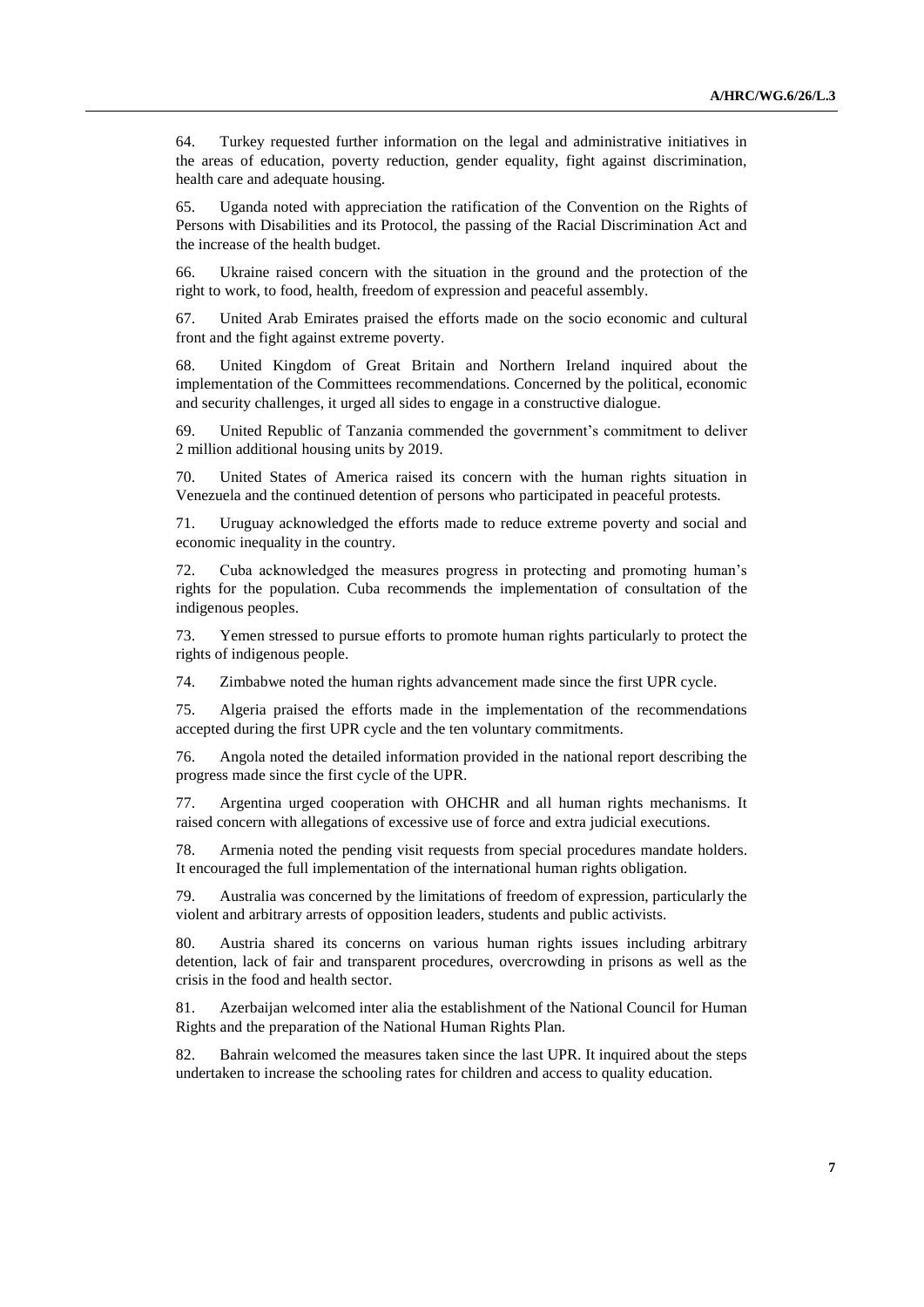64. Turkey requested further information on the legal and administrative initiatives in the areas of education, poverty reduction, gender equality, fight against discrimination, health care and adequate housing.

65. Uganda noted with appreciation the ratification of the Convention on the Rights of Persons with Disabilities and its Protocol, the passing of the Racial Discrimination Act and the increase of the health budget.

66. Ukraine raised concern with the situation in the ground and the protection of the right to work, to food, health, freedom of expression and peaceful assembly.

67. United Arab Emirates praised the efforts made on the socio economic and cultural front and the fight against extreme poverty.

68. United Kingdom of Great Britain and Northern Ireland inquired about the implementation of the Committees recommendations. Concerned by the political, economic and security challenges, it urged all sides to engage in a constructive dialogue.

69. United Republic of Tanzania commended the government's commitment to deliver 2 million additional housing units by 2019.

70. United States of America raised its concern with the human rights situation in Venezuela and the continued detention of persons who participated in peaceful protests.

71. Uruguay acknowledged the efforts made to reduce extreme poverty and social and economic inequality in the country.

72. Cuba acknowledged the measures progress in protecting and promoting human's rights for the population. Cuba recommends the implementation of consultation of the indigenous peoples.

73. Yemen stressed to pursue efforts to promote human rights particularly to protect the rights of indigenous people.

74. Zimbabwe noted the human rights advancement made since the first UPR cycle.

75. Algeria praised the efforts made in the implementation of the recommendations accepted during the first UPR cycle and the ten voluntary commitments.

76. Angola noted the detailed information provided in the national report describing the progress made since the first cycle of the UPR.

77. Argentina urged cooperation with OHCHR and all human rights mechanisms. It raised concern with allegations of excessive use of force and extra judicial executions.

78. Armenia noted the pending visit requests from special procedures mandate holders. It encouraged the full implementation of the international human rights obligation.

79. Australia was concerned by the limitations of freedom of expression, particularly the violent and arbitrary arrests of opposition leaders, students and public activists.

80. Austria shared its concerns on various human rights issues including arbitrary detention, lack of fair and transparent procedures, overcrowding in prisons as well as the crisis in the food and health sector.

81. Azerbaijan welcomed inter alia the establishment of the National Council for Human Rights and the preparation of the National Human Rights Plan.

82. Bahrain welcomed the measures taken since the last UPR. It inquired about the steps undertaken to increase the schooling rates for children and access to quality education.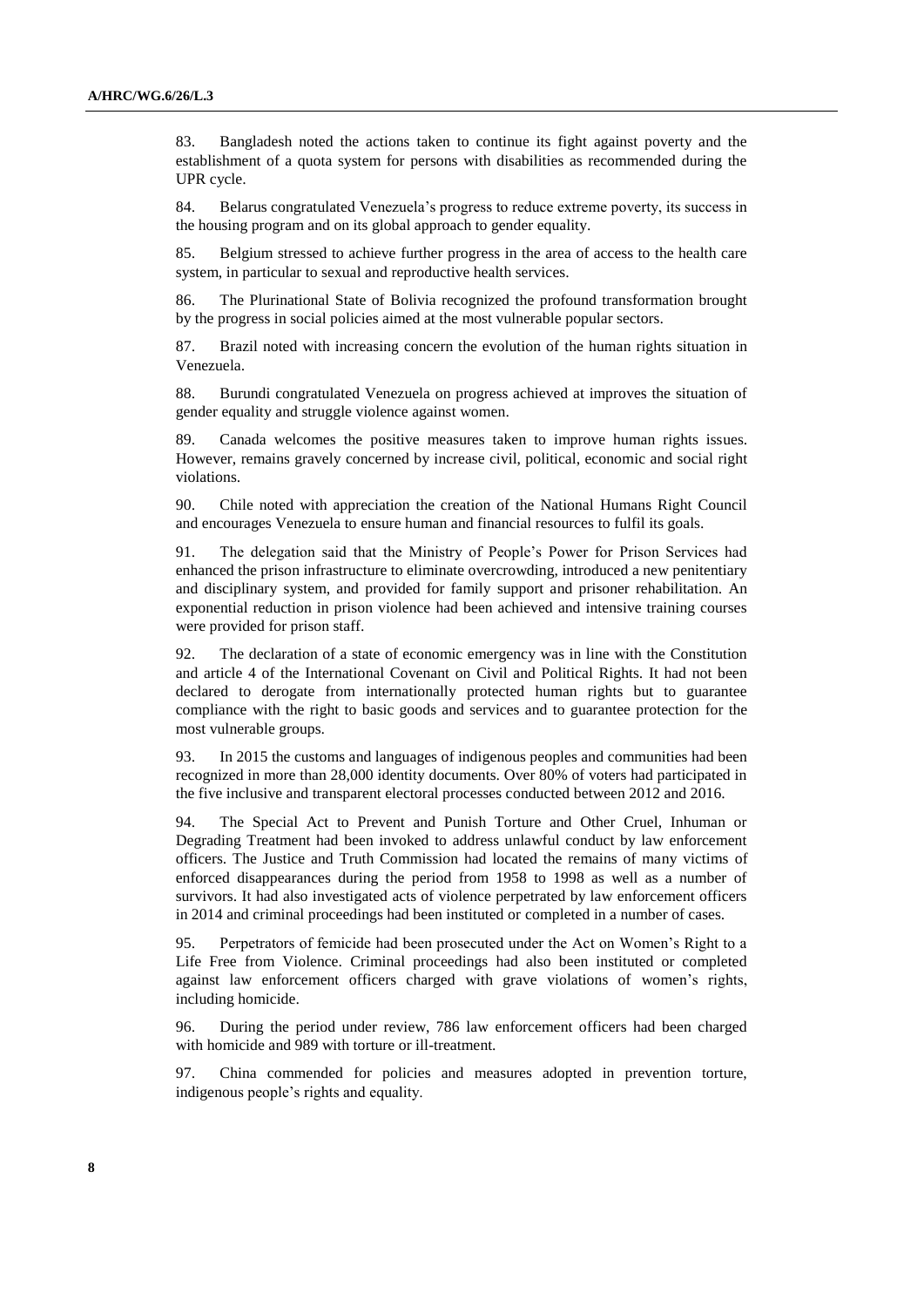83. Bangladesh noted the actions taken to continue its fight against poverty and the establishment of a quota system for persons with disabilities as recommended during the UPR cycle.

84. Belarus congratulated Venezuela's progress to reduce extreme poverty, its success in the housing program and on its global approach to gender equality.

85. Belgium stressed to achieve further progress in the area of access to the health care system, in particular to sexual and reproductive health services.

86. The Plurinational State of Bolivia recognized the profound transformation brought by the progress in social policies aimed at the most vulnerable popular sectors.

87. Brazil noted with increasing concern the evolution of the human rights situation in Venezuela.

88. Burundi congratulated Venezuela on progress achieved at improves the situation of gender equality and struggle violence against women.

89. Canada welcomes the positive measures taken to improve human rights issues. However, remains gravely concerned by increase civil, political, economic and social right violations.

90. Chile noted with appreciation the creation of the National Humans Right Council and encourages Venezuela to ensure human and financial resources to fulfil its goals.

91. The delegation said that the Ministry of People's Power for Prison Services had enhanced the prison infrastructure to eliminate overcrowding, introduced a new penitentiary and disciplinary system, and provided for family support and prisoner rehabilitation. An exponential reduction in prison violence had been achieved and intensive training courses were provided for prison staff.

92. The declaration of a state of economic emergency was in line with the Constitution and article 4 of the International Covenant on Civil and Political Rights. It had not been declared to derogate from internationally protected human rights but to guarantee compliance with the right to basic goods and services and to guarantee protection for the most vulnerable groups.

93. In 2015 the customs and languages of indigenous peoples and communities had been recognized in more than 28,000 identity documents. Over 80% of voters had participated in the five inclusive and transparent electoral processes conducted between 2012 and 2016.

94. The Special Act to Prevent and Punish Torture and Other Cruel, Inhuman or Degrading Treatment had been invoked to address unlawful conduct by law enforcement officers. The Justice and Truth Commission had located the remains of many victims of enforced disappearances during the period from 1958 to 1998 as well as a number of survivors. It had also investigated acts of violence perpetrated by law enforcement officers in 2014 and criminal proceedings had been instituted or completed in a number of cases.

95. Perpetrators of femicide had been prosecuted under the Act on Women's Right to a Life Free from Violence. Criminal proceedings had also been instituted or completed against law enforcement officers charged with grave violations of women's rights, including homicide.

96. During the period under review, 786 law enforcement officers had been charged with homicide and 989 with torture or ill-treatment.

97. China commended for policies and measures adopted in prevention torture, indigenous people's rights and equality.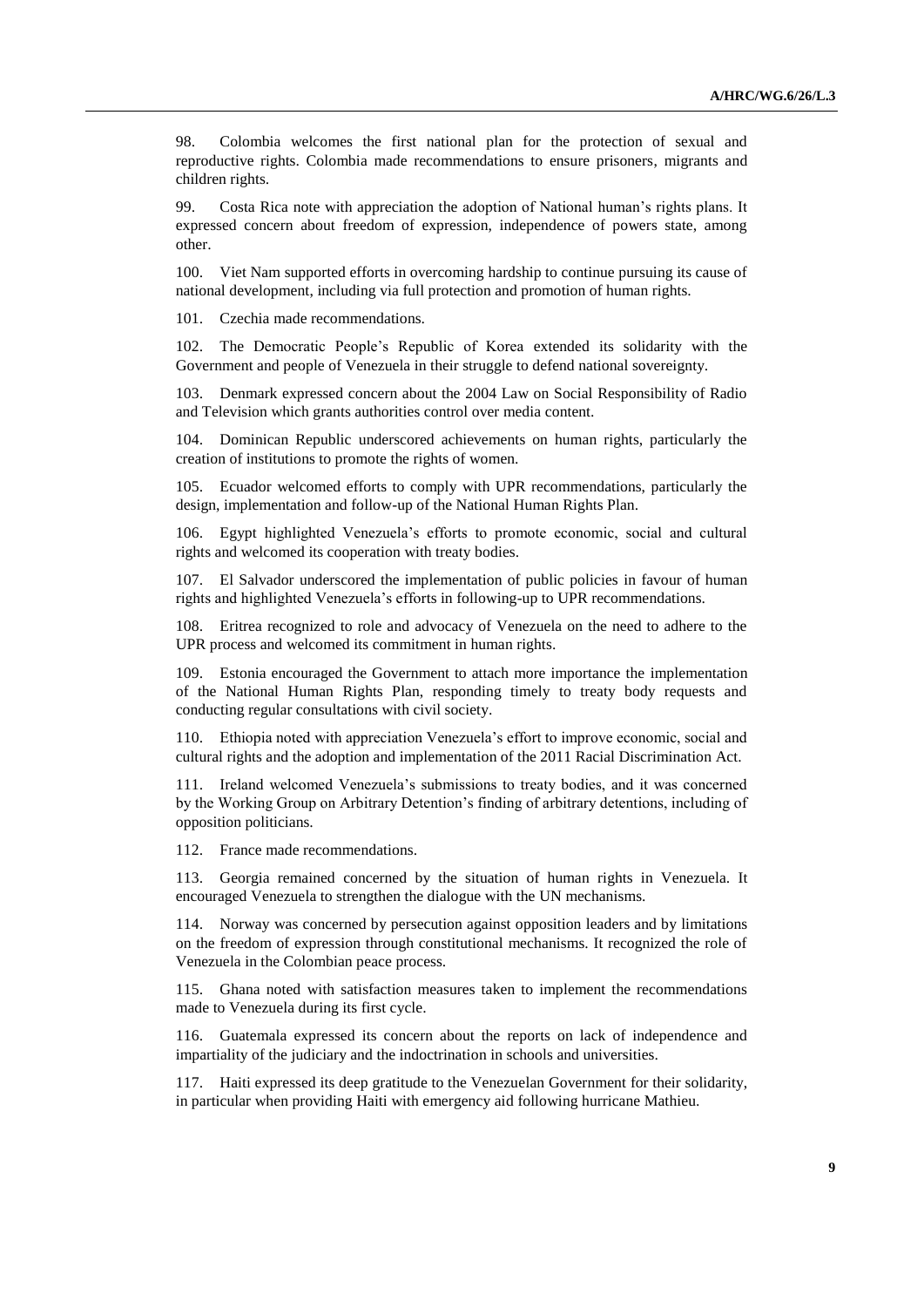98. Colombia welcomes the first national plan for the protection of sexual and reproductive rights. Colombia made recommendations to ensure prisoners, migrants and children rights.

99. Costa Rica note with appreciation the adoption of National human's rights plans. It expressed concern about freedom of expression, independence of powers state, among other.

100. Viet Nam supported efforts in overcoming hardship to continue pursuing its cause of national development, including via full protection and promotion of human rights.

101. Czechia made recommendations.

102. The Democratic People's Republic of Korea extended its solidarity with the Government and people of Venezuela in their struggle to defend national sovereignty.

103. Denmark expressed concern about the 2004 Law on Social Responsibility of Radio and Television which grants authorities control over media content.

104. Dominican Republic underscored achievements on human rights, particularly the creation of institutions to promote the rights of women.

105. Ecuador welcomed efforts to comply with UPR recommendations, particularly the design, implementation and follow-up of the National Human Rights Plan.

106. Egypt highlighted Venezuela's efforts to promote economic, social and cultural rights and welcomed its cooperation with treaty bodies.

107. El Salvador underscored the implementation of public policies in favour of human rights and highlighted Venezuela's efforts in following-up to UPR recommendations.

108. Eritrea recognized to role and advocacy of Venezuela on the need to adhere to the UPR process and welcomed its commitment in human rights.

109. Estonia encouraged the Government to attach more importance the implementation of the National Human Rights Plan, responding timely to treaty body requests and conducting regular consultations with civil society.

110. Ethiopia noted with appreciation Venezuela's effort to improve economic, social and cultural rights and the adoption and implementation of the 2011 Racial Discrimination Act.

111. Ireland welcomed Venezuela's submissions to treaty bodies, and it was concerned by the Working Group on Arbitrary Detention's finding of arbitrary detentions, including of opposition politicians.

112. France made recommendations.

113. Georgia remained concerned by the situation of human rights in Venezuela. It encouraged Venezuela to strengthen the dialogue with the UN mechanisms.

114. Norway was concerned by persecution against opposition leaders and by limitations on the freedom of expression through constitutional mechanisms. It recognized the role of Venezuela in the Colombian peace process.

115. Ghana noted with satisfaction measures taken to implement the recommendations made to Venezuela during its first cycle.

116. Guatemala expressed its concern about the reports on lack of independence and impartiality of the judiciary and the indoctrination in schools and universities.

117. Haiti expressed its deep gratitude to the Venezuelan Government for their solidarity, in particular when providing Haiti with emergency aid following hurricane Mathieu.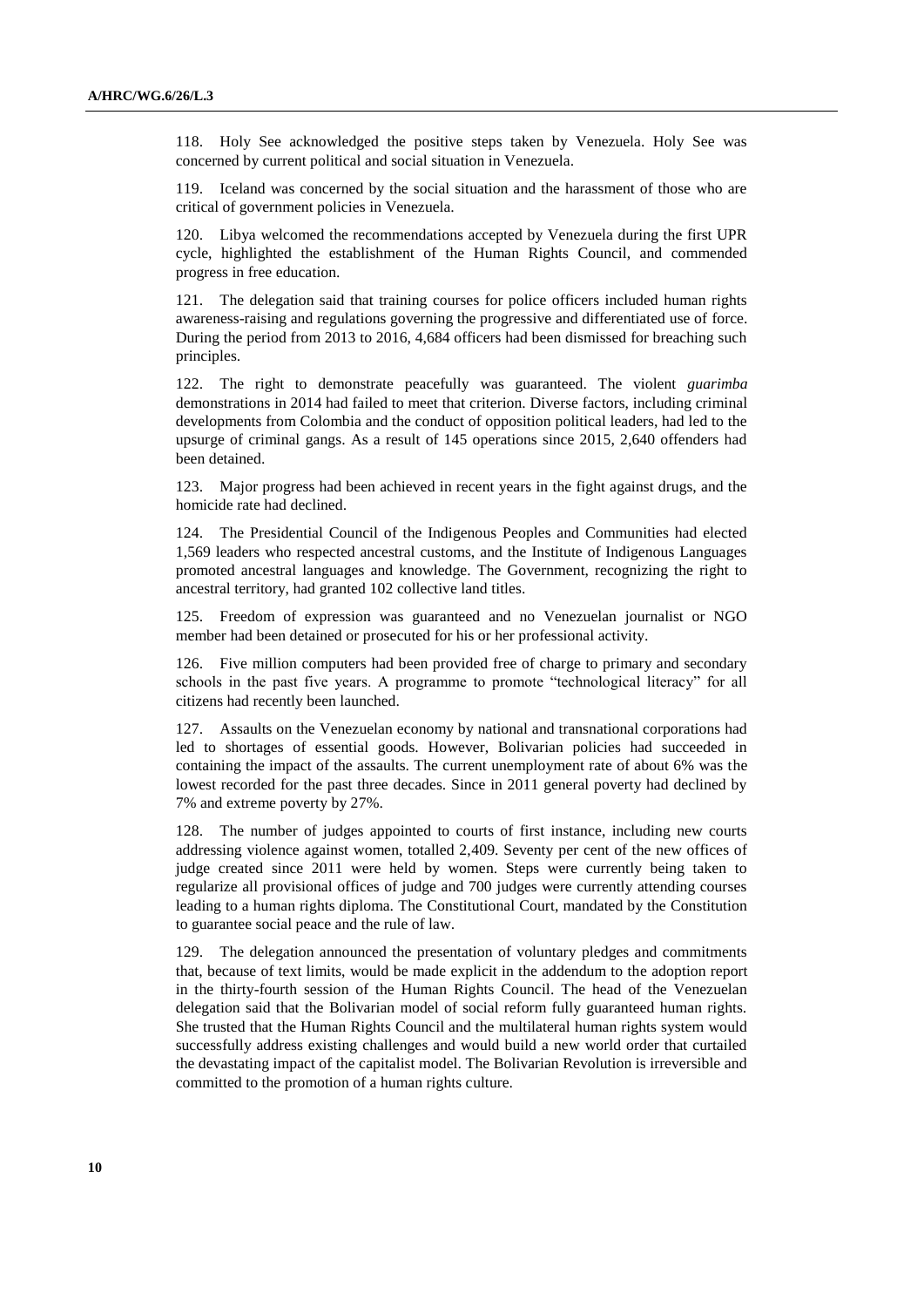118. Holy See acknowledged the positive steps taken by Venezuela. Holy See was concerned by current political and social situation in Venezuela.

119. Iceland was concerned by the social situation and the harassment of those who are critical of government policies in Venezuela.

120. Libya welcomed the recommendations accepted by Venezuela during the first UPR cycle, highlighted the establishment of the Human Rights Council, and commended progress in free education.

121. The delegation said that training courses for police officers included human rights awareness-raising and regulations governing the progressive and differentiated use of force. During the period from 2013 to 2016, 4,684 officers had been dismissed for breaching such principles.

122. The right to demonstrate peacefully was guaranteed. The violent *guarimba* demonstrations in 2014 had failed to meet that criterion. Diverse factors, including criminal developments from Colombia and the conduct of opposition political leaders, had led to the upsurge of criminal gangs. As a result of 145 operations since 2015, 2,640 offenders had been detained.

123. Major progress had been achieved in recent years in the fight against drugs, and the homicide rate had declined.

124. The Presidential Council of the Indigenous Peoples and Communities had elected 1,569 leaders who respected ancestral customs, and the Institute of Indigenous Languages promoted ancestral languages and knowledge. The Government, recognizing the right to ancestral territory, had granted 102 collective land titles.

125. Freedom of expression was guaranteed and no Venezuelan journalist or NGO member had been detained or prosecuted for his or her professional activity.

126. Five million computers had been provided free of charge to primary and secondary schools in the past five years. A programme to promote "technological literacy" for all citizens had recently been launched.

127. Assaults on the Venezuelan economy by national and transnational corporations had led to shortages of essential goods. However, Bolivarian policies had succeeded in containing the impact of the assaults. The current unemployment rate of about 6% was the lowest recorded for the past three decades. Since in 2011 general poverty had declined by 7% and extreme poverty by 27%.

128. The number of judges appointed to courts of first instance, including new courts addressing violence against women, totalled 2,409. Seventy per cent of the new offices of judge created since 2011 were held by women. Steps were currently being taken to regularize all provisional offices of judge and 700 judges were currently attending courses leading to a human rights diploma. The Constitutional Court, mandated by the Constitution to guarantee social peace and the rule of law.

129. The delegation announced the presentation of voluntary pledges and commitments that, because of text limits, would be made explicit in the addendum to the adoption report in the thirty-fourth session of the Human Rights Council. The head of the Venezuelan delegation said that the Bolivarian model of social reform fully guaranteed human rights. She trusted that the Human Rights Council and the multilateral human rights system would successfully address existing challenges and would build a new world order that curtailed the devastating impact of the capitalist model. The Bolivarian Revolution is irreversible and committed to the promotion of a human rights culture.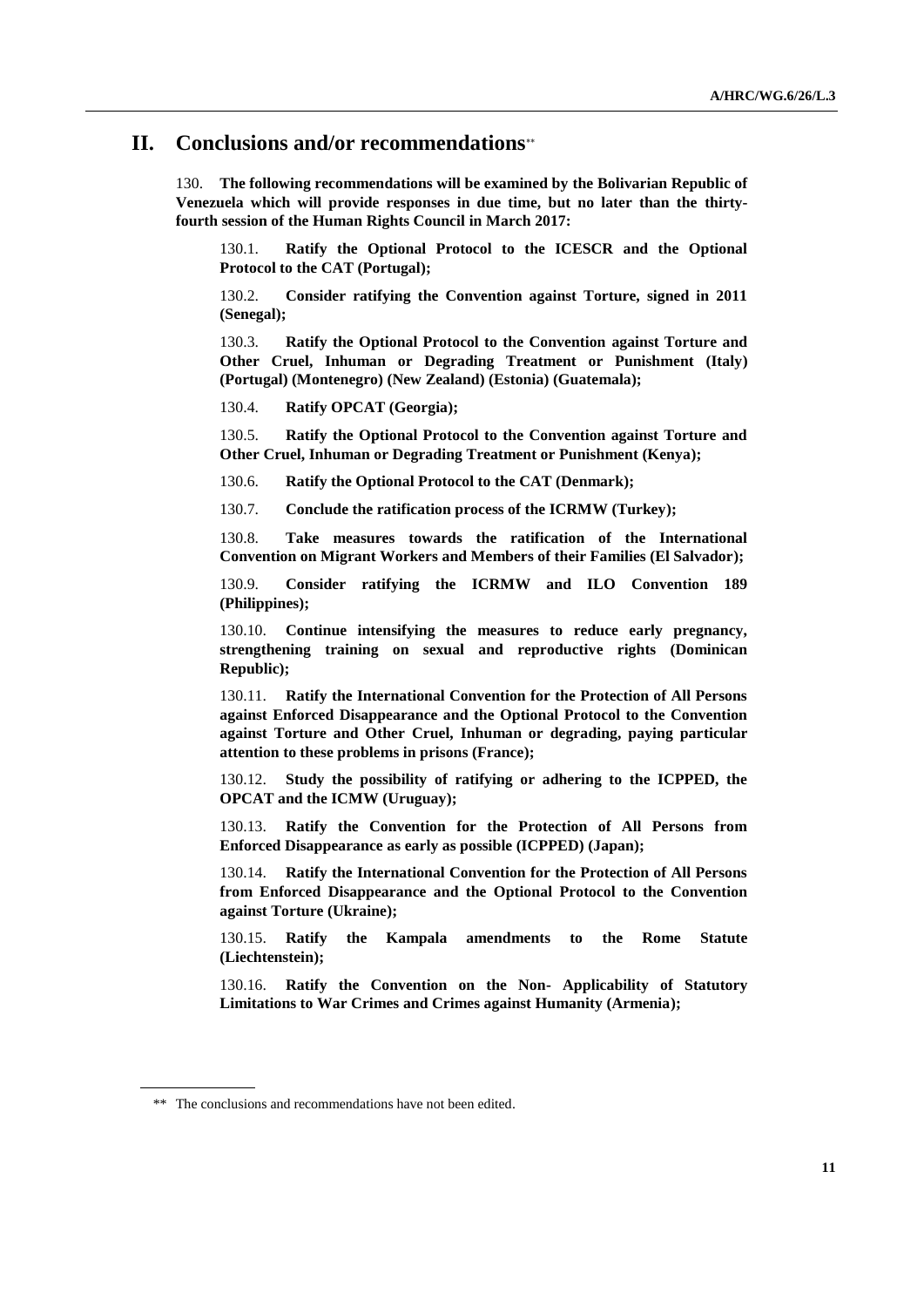## **II. Conclusions and/or recommendations**

130. **The following recommendations will be examined by the Bolivarian Republic of Venezuela which will provide responses in due time, but no later than the thirtyfourth session of the Human Rights Council in March 2017:**

130.1. **Ratify the Optional Protocol to the ICESCR and the Optional Protocol to the CAT (Portugal);**

130.2. **Consider ratifying the Convention against Torture, signed in 2011 (Senegal);**

130.3. **Ratify the Optional Protocol to the Convention against Torture and Other Cruel, Inhuman or Degrading Treatment or Punishment (Italy) (Portugal) (Montenegro) (New Zealand) (Estonia) (Guatemala);**

130.4. **Ratify OPCAT (Georgia);**

130.5. **Ratify the Optional Protocol to the Convention against Torture and Other Cruel, Inhuman or Degrading Treatment or Punishment (Kenya);**

130.6. **Ratify the Optional Protocol to the CAT (Denmark);**

130.7. **Conclude the ratification process of the ICRMW (Turkey);**

130.8. **Take measures towards the ratification of the International Convention on Migrant Workers and Members of their Families (El Salvador);**

130.9. **Consider ratifying the ICRMW and ILO Convention 189 (Philippines);**

130.10. **Continue intensifying the measures to reduce early pregnancy, strengthening training on sexual and reproductive rights (Dominican Republic);**

130.11. **Ratify the International Convention for the Protection of All Persons against Enforced Disappearance and the Optional Protocol to the Convention against Torture and Other Cruel, Inhuman or degrading, paying particular attention to these problems in prisons (France);**

130.12. **Study the possibility of ratifying or adhering to the ICPPED, the OPCAT and the ICMW (Uruguay);**

130.13. **Ratify the Convention for the Protection of All Persons from Enforced Disappearance as early as possible (ICPPED) (Japan);**

130.14. **Ratify the International Convention for the Protection of All Persons from Enforced Disappearance and the Optional Protocol to the Convention against Torture (Ukraine);**

130.15. **Ratify the Kampala amendments to the Rome Statute (Liechtenstein);**

130.16. **Ratify the Convention on the Non- Applicability of Statutory Limitations to War Crimes and Crimes against Humanity (Armenia);**

<sup>\*\*</sup> The conclusions and recommendations have not been edited.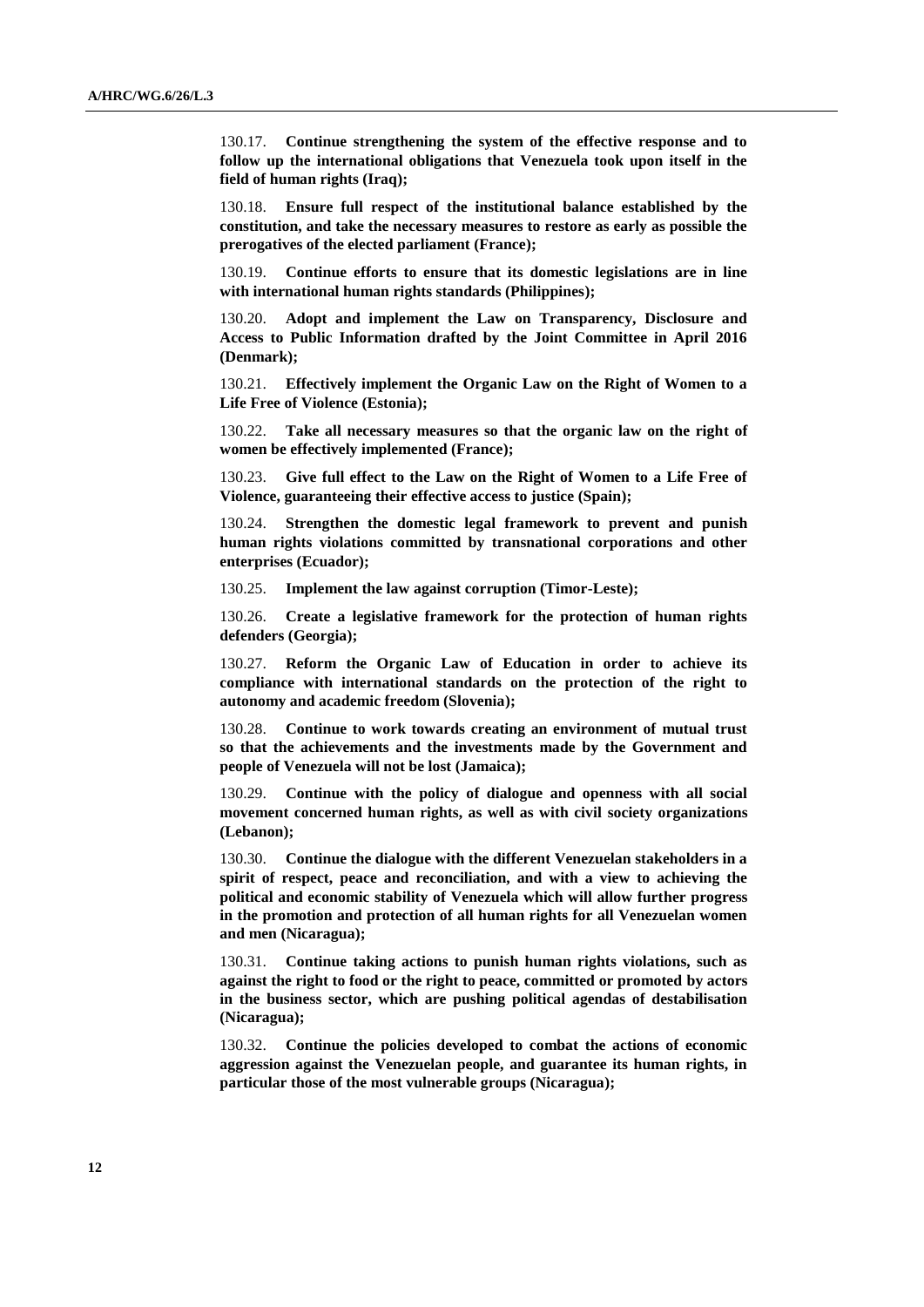130.17. **Continue strengthening the system of the effective response and to follow up the international obligations that Venezuela took upon itself in the field of human rights (Iraq);**

130.18. **Ensure full respect of the institutional balance established by the constitution, and take the necessary measures to restore as early as possible the prerogatives of the elected parliament (France);**

130.19. **Continue efforts to ensure that its domestic legislations are in line with international human rights standards (Philippines);**

130.20. **Adopt and implement the Law on Transparency, Disclosure and Access to Public Information drafted by the Joint Committee in April 2016 (Denmark);**

130.21. **Effectively implement the Organic Law on the Right of Women to a Life Free of Violence (Estonia);**

130.22. **Take all necessary measures so that the organic law on the right of women be effectively implemented (France);**

130.23. **Give full effect to the Law on the Right of Women to a Life Free of Violence, guaranteeing their effective access to justice (Spain);**

130.24. **Strengthen the domestic legal framework to prevent and punish human rights violations committed by transnational corporations and other enterprises (Ecuador);**

130.25. **Implement the law against corruption (Timor-Leste);**

130.26. **Create a legislative framework for the protection of human rights defenders (Georgia);**

130.27. **Reform the Organic Law of Education in order to achieve its compliance with international standards on the protection of the right to autonomy and academic freedom (Slovenia);**

130.28. **Continue to work towards creating an environment of mutual trust so that the achievements and the investments made by the Government and people of Venezuela will not be lost (Jamaica);**

130.29. **Continue with the policy of dialogue and openness with all social movement concerned human rights, as well as with civil society organizations (Lebanon);**

130.30. **Continue the dialogue with the different Venezuelan stakeholders in a spirit of respect, peace and reconciliation, and with a view to achieving the political and economic stability of Venezuela which will allow further progress in the promotion and protection of all human rights for all Venezuelan women and men (Nicaragua);**

130.31. **Continue taking actions to punish human rights violations, such as against the right to food or the right to peace, committed or promoted by actors in the business sector, which are pushing political agendas of destabilisation (Nicaragua);**

130.32. **Continue the policies developed to combat the actions of economic aggression against the Venezuelan people, and guarantee its human rights, in particular those of the most vulnerable groups (Nicaragua);**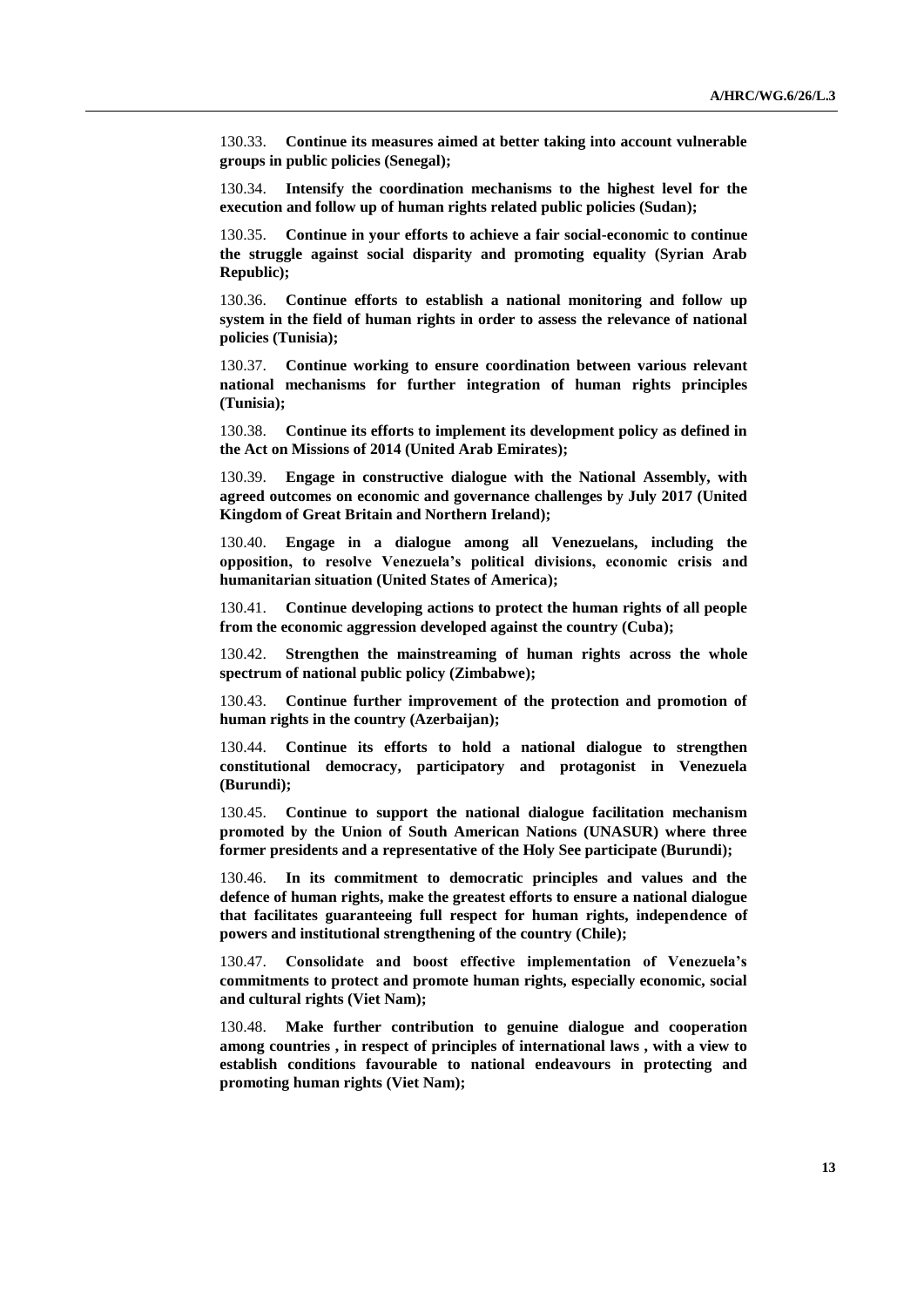130.33. **Continue its measures aimed at better taking into account vulnerable groups in public policies (Senegal);**

130.34. **Intensify the coordination mechanisms to the highest level for the execution and follow up of human rights related public policies (Sudan);**

130.35. **Continue in your efforts to achieve a fair social-economic to continue the struggle against social disparity and promoting equality (Syrian Arab Republic);**

130.36. **Continue efforts to establish a national monitoring and follow up system in the field of human rights in order to assess the relevance of national policies (Tunisia);**

130.37. **Continue working to ensure coordination between various relevant national mechanisms for further integration of human rights principles (Tunisia);**

130.38. **Continue its efforts to implement its development policy as defined in the Act on Missions of 2014 (United Arab Emirates);**

130.39. **Engage in constructive dialogue with the National Assembly, with agreed outcomes on economic and governance challenges by July 2017 (United Kingdom of Great Britain and Northern Ireland);**

130.40. **Engage in a dialogue among all Venezuelans, including the opposition, to resolve Venezuela's political divisions, economic crisis and humanitarian situation (United States of America);**

130.41. **Continue developing actions to protect the human rights of all people from the economic aggression developed against the country (Cuba);**

130.42. **Strengthen the mainstreaming of human rights across the whole spectrum of national public policy (Zimbabwe);**

130.43. **Continue further improvement of the protection and promotion of human rights in the country (Azerbaijan);**

130.44. **Continue its efforts to hold a national dialogue to strengthen constitutional democracy, participatory and protagonist in Venezuela (Burundi);**

130.45. **Continue to support the national dialogue facilitation mechanism promoted by the Union of South American Nations (UNASUR) where three former presidents and a representative of the Holy See participate (Burundi);**

130.46. **In its commitment to democratic principles and values and the defence of human rights, make the greatest efforts to ensure a national dialogue that facilitates guaranteeing full respect for human rights, independence of powers and institutional strengthening of the country (Chile);**

130.47. **Consolidate and boost effective implementation of Venezuela's commitments to protect and promote human rights, especially economic, social and cultural rights (Viet Nam);** 

130.48. **Make further contribution to genuine dialogue and cooperation among countries , in respect of principles of international laws , with a view to establish conditions favourable to national endeavours in protecting and promoting human rights (Viet Nam);**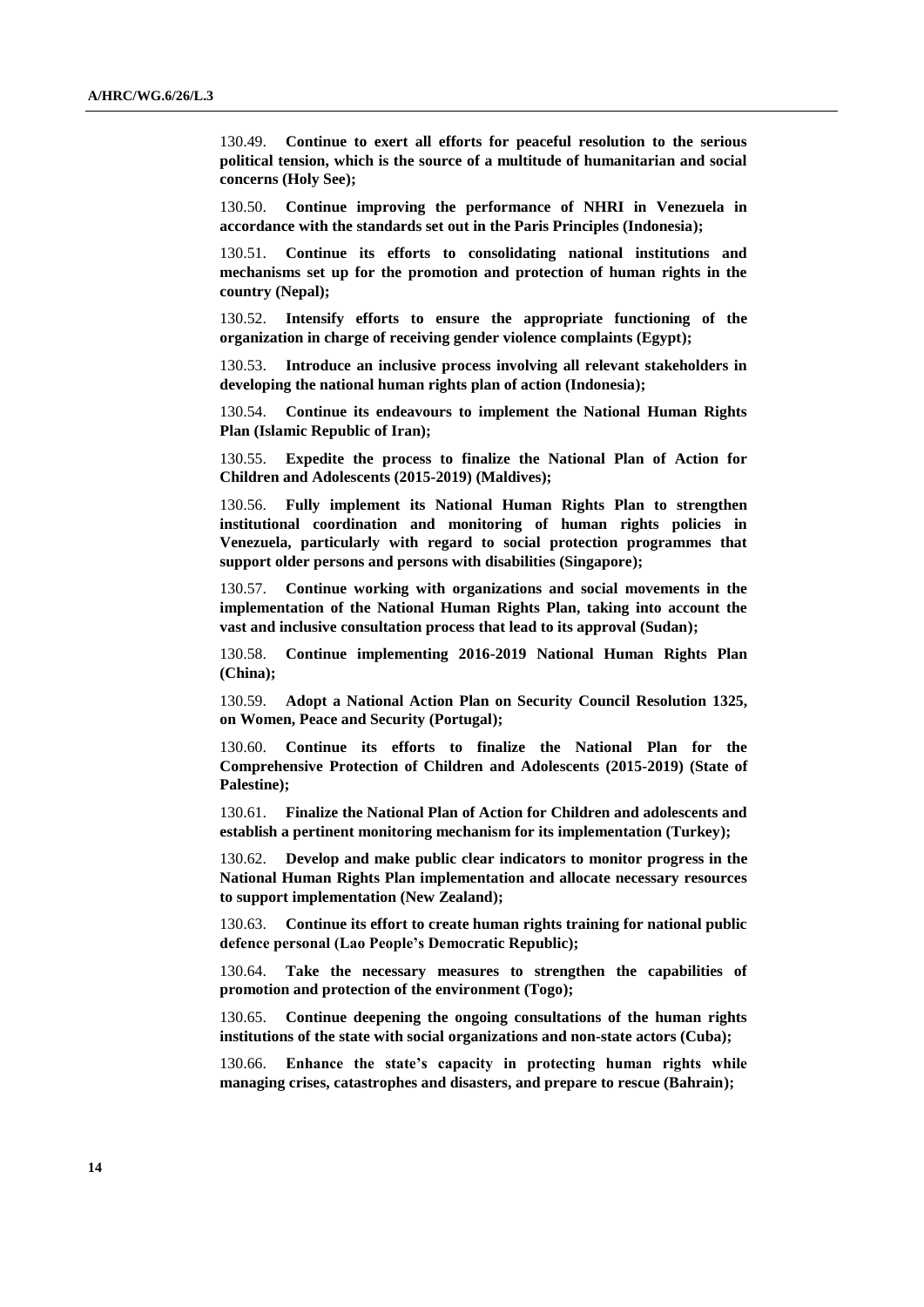130.49. **Continue to exert all efforts for peaceful resolution to the serious political tension, which is the source of a multitude of humanitarian and social concerns (Holy See);**

130.50. **Continue improving the performance of NHRI in Venezuela in accordance with the standards set out in the Paris Principles (Indonesia);** 

130.51. **Continue its efforts to consolidating national institutions and mechanisms set up for the promotion and protection of human rights in the country (Nepal);**

130.52. **Intensify efforts to ensure the appropriate functioning of the organization in charge of receiving gender violence complaints (Egypt);**

130.53. **Introduce an inclusive process involving all relevant stakeholders in developing the national human rights plan of action (Indonesia);**

130.54. **Continue its endeavours to implement the National Human Rights Plan (Islamic Republic of Iran);**

130.55. **Expedite the process to finalize the National Plan of Action for Children and Adolescents (2015-2019) (Maldives);**

130.56. **Fully implement its National Human Rights Plan to strengthen institutional coordination and monitoring of human rights policies in Venezuela, particularly with regard to social protection programmes that support older persons and persons with disabilities (Singapore);**

130.57. **Continue working with organizations and social movements in the implementation of the National Human Rights Plan, taking into account the vast and inclusive consultation process that lead to its approval (Sudan);**

130.58. **Continue implementing 2016-2019 National Human Rights Plan (China);**

130.59. **Adopt a National Action Plan on Security Council Resolution 1325, on Women, Peace and Security (Portugal);**

130.60. **Continue its efforts to finalize the National Plan for the Comprehensive Protection of Children and Adolescents (2015-2019) (State of Palestine);**

130.61. **Finalize the National Plan of Action for Children and adolescents and establish a pertinent monitoring mechanism for its implementation (Turkey);**

130.62. **Develop and make public clear indicators to monitor progress in the National Human Rights Plan implementation and allocate necessary resources to support implementation (New Zealand);**

130.63. **Continue its effort to create human rights training for national public defence personal (Lao People's Democratic Republic);**

130.64. **Take the necessary measures to strengthen the capabilities of promotion and protection of the environment (Togo);**

130.65. **Continue deepening the ongoing consultations of the human rights institutions of the state with social organizations and non-state actors (Cuba);**

130.66. **Enhance the state's capacity in protecting human rights while managing crises, catastrophes and disasters, and prepare to rescue (Bahrain);**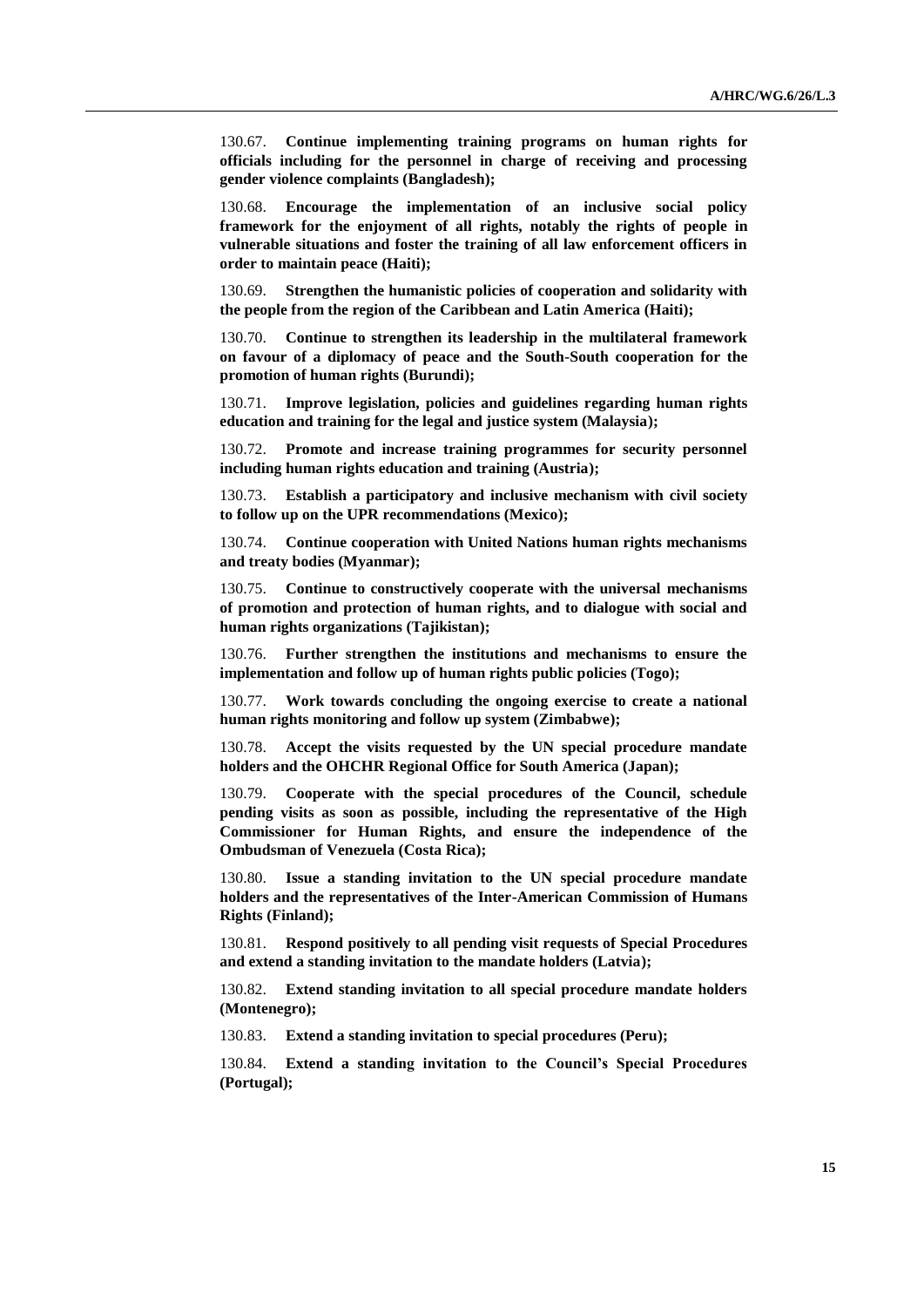130.67. **Continue implementing training programs on human rights for officials including for the personnel in charge of receiving and processing gender violence complaints (Bangladesh);**

130.68. **Encourage the implementation of an inclusive social policy framework for the enjoyment of all rights, notably the rights of people in vulnerable situations and foster the training of all law enforcement officers in order to maintain peace (Haiti);**

130.69. **Strengthen the humanistic policies of cooperation and solidarity with the people from the region of the Caribbean and Latin America (Haiti);** 

130.70. **Continue to strengthen its leadership in the multilateral framework on favour of a diplomacy of peace and the South-South cooperation for the promotion of human rights (Burundi);**

130.71. **Improve legislation, policies and guidelines regarding human rights education and training for the legal and justice system (Malaysia);**

130.72. **Promote and increase training programmes for security personnel including human rights education and training (Austria);**

130.73. **Establish a participatory and inclusive mechanism with civil society to follow up on the UPR recommendations (Mexico);** 

130.74. **Continue cooperation with United Nations human rights mechanisms and treaty bodies (Myanmar);**

130.75. **Continue to constructively cooperate with the universal mechanisms of promotion and protection of human rights, and to dialogue with social and human rights organizations (Tajikistan);**

130.76. **Further strengthen the institutions and mechanisms to ensure the implementation and follow up of human rights public policies (Togo);**

130.77. **Work towards concluding the ongoing exercise to create a national human rights monitoring and follow up system (Zimbabwe);**

130.78. **Accept the visits requested by the UN special procedure mandate holders and the OHCHR Regional Office for South America (Japan);**

130.79. **Cooperate with the special procedures of the Council, schedule pending visits as soon as possible, including the representative of the High Commissioner for Human Rights, and ensure the independence of the Ombudsman of Venezuela (Costa Rica);**

130.80. **Issue a standing invitation to the UN special procedure mandate holders and the representatives of the Inter-American Commission of Humans Rights (Finland);**

130.81. **Respond positively to all pending visit requests of Special Procedures and extend a standing invitation to the mandate holders (Latvia);**

130.82. **Extend standing invitation to all special procedure mandate holders (Montenegro);**

130.83. **Extend a standing invitation to special procedures (Peru);**

130.84. **Extend a standing invitation to the Council's Special Procedures (Portugal);**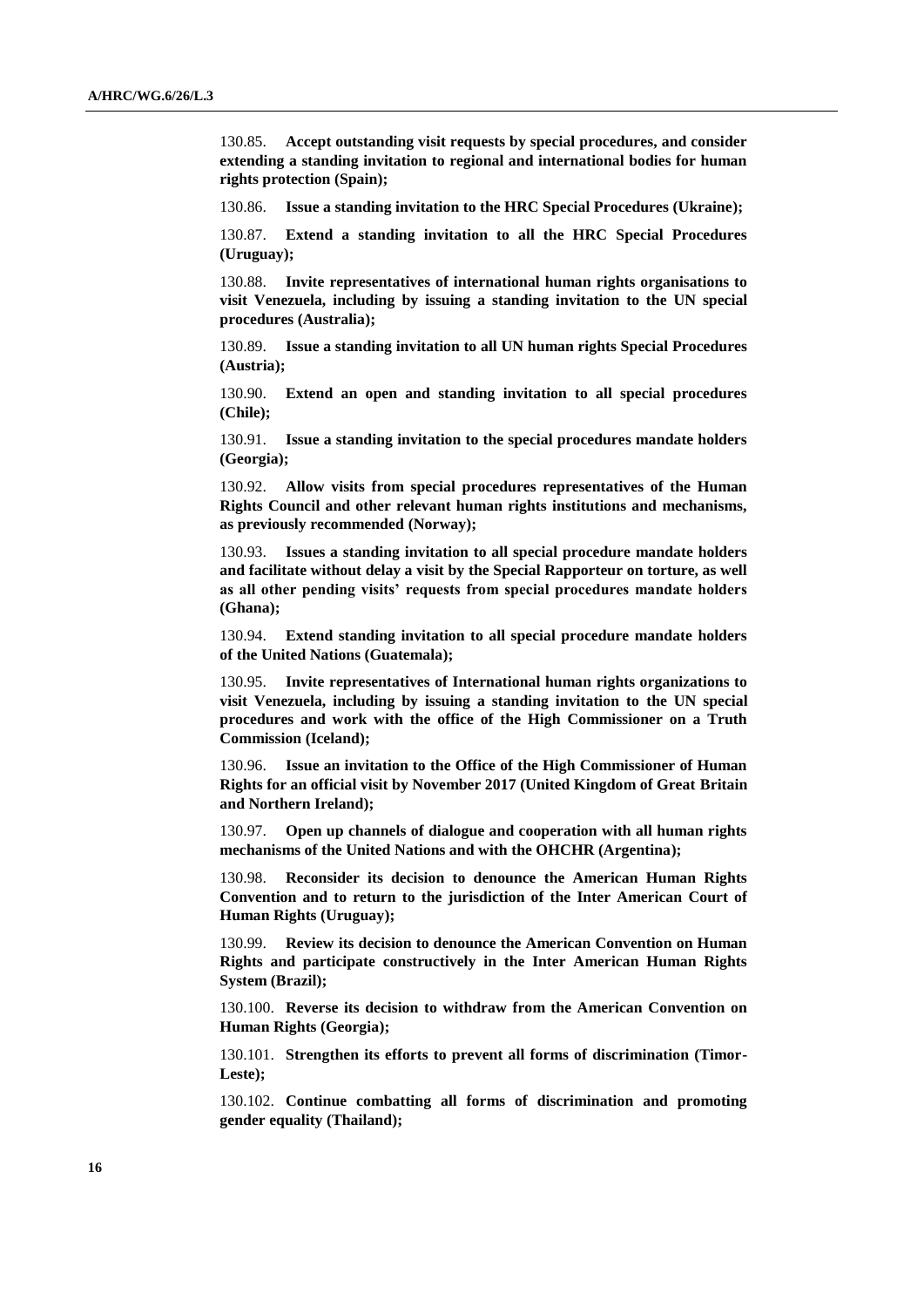130.85. **Accept outstanding visit requests by special procedures, and consider extending a standing invitation to regional and international bodies for human rights protection (Spain);**

130.86. **Issue a standing invitation to the HRC Special Procedures (Ukraine);**

130.87. **Extend a standing invitation to all the HRC Special Procedures (Uruguay);** 

130.88. **Invite representatives of international human rights organisations to visit Venezuela, including by issuing a standing invitation to the UN special procedures (Australia);**

130.89. **Issue a standing invitation to all UN human rights Special Procedures (Austria);**

130.90. **Extend an open and standing invitation to all special procedures (Chile);**

130.91. **Issue a standing invitation to the special procedures mandate holders (Georgia);**

130.92. **Allow visits from special procedures representatives of the Human Rights Council and other relevant human rights institutions and mechanisms, as previously recommended (Norway);** 

130.93. **Issues a standing invitation to all special procedure mandate holders and facilitate without delay a visit by the Special Rapporteur on torture, as well as all other pending visits' requests from special procedures mandate holders (Ghana);**

130.94. **Extend standing invitation to all special procedure mandate holders of the United Nations (Guatemala);**

130.95. **Invite representatives of International human rights organizations to visit Venezuela, including by issuing a standing invitation to the UN special procedures and work with the office of the High Commissioner on a Truth Commission (Iceland);**

130.96. **Issue an invitation to the Office of the High Commissioner of Human Rights for an official visit by November 2017 (United Kingdom of Great Britain and Northern Ireland);** 

130.97. **Open up channels of dialogue and cooperation with all human rights mechanisms of the United Nations and with the OHCHR (Argentina);**

130.98. **Reconsider its decision to denounce the American Human Rights Convention and to return to the jurisdiction of the Inter American Court of Human Rights (Uruguay);**

130.99. **Review its decision to denounce the American Convention on Human Rights and participate constructively in the Inter American Human Rights System (Brazil);**

130.100. **Reverse its decision to withdraw from the American Convention on Human Rights (Georgia);**

130.101. **Strengthen its efforts to prevent all forms of discrimination (Timor-Leste);** 

130.102. **Continue combatting all forms of discrimination and promoting gender equality (Thailand);**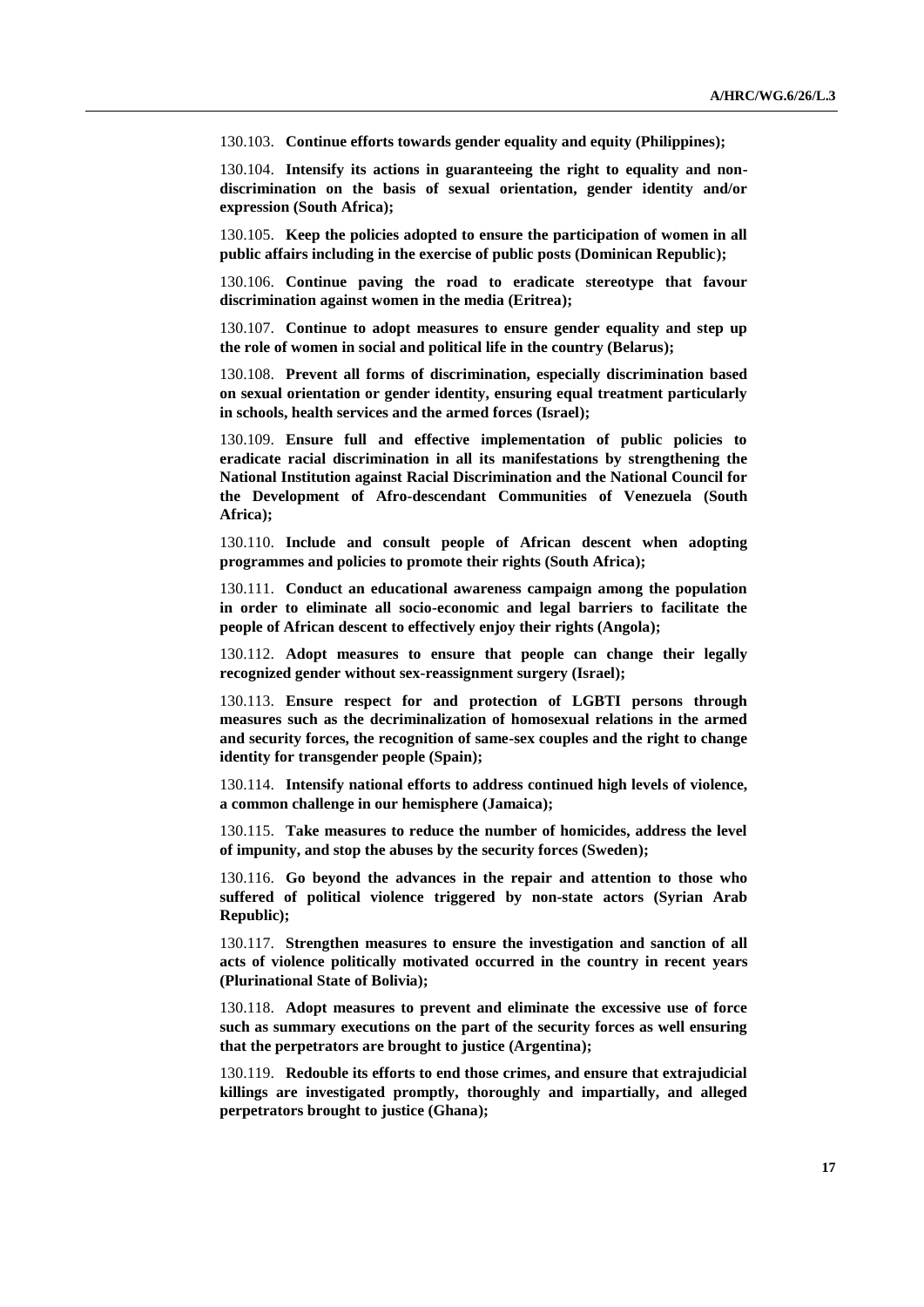130.103. **Continue efforts towards gender equality and equity (Philippines);**

130.104. **Intensify its actions in guaranteeing the right to equality and nondiscrimination on the basis of sexual orientation, gender identity and/or expression (South Africa);**

130.105. **Keep the policies adopted to ensure the participation of women in all public affairs including in the exercise of public posts (Dominican Republic);**

130.106. **Continue paving the road to eradicate stereotype that favour discrimination against women in the media (Eritrea);**

130.107. **Continue to adopt measures to ensure gender equality and step up the role of women in social and political life in the country (Belarus);**

130.108. **Prevent all forms of discrimination, especially discrimination based on sexual orientation or gender identity, ensuring equal treatment particularly in schools, health services and the armed forces (Israel);**

130.109. **Ensure full and effective implementation of public policies to eradicate racial discrimination in all its manifestations by strengthening the National Institution against Racial Discrimination and the National Council for the Development of Afro-descendant Communities of Venezuela (South Africa);** 

130.110. **Include and consult people of African descent when adopting programmes and policies to promote their rights (South Africa);** 

130.111. **Conduct an educational awareness campaign among the population in order to eliminate all socio-economic and legal barriers to facilitate the people of African descent to effectively enjoy their rights (Angola);**

130.112. **Adopt measures to ensure that people can change their legally recognized gender without sex-reassignment surgery (Israel);**

130.113. **Ensure respect for and protection of LGBTI persons through measures such as the decriminalization of homosexual relations in the armed and security forces, the recognition of same-sex couples and the right to change identity for transgender people (Spain);**

130.114. **Intensify national efforts to address continued high levels of violence, a common challenge in our hemisphere (Jamaica);**

130.115. **Take measures to reduce the number of homicides, address the level of impunity, and stop the abuses by the security forces (Sweden);**

130.116. **Go beyond the advances in the repair and attention to those who suffered of political violence triggered by non-state actors (Syrian Arab Republic);**

130.117. **Strengthen measures to ensure the investigation and sanction of all acts of violence politically motivated occurred in the country in recent years (Plurinational State of Bolivia);**

130.118. **Adopt measures to prevent and eliminate the excessive use of force such as summary executions on the part of the security forces as well ensuring that the perpetrators are brought to justice (Argentina);**

130.119. **Redouble its efforts to end those crimes, and ensure that extrajudicial killings are investigated promptly, thoroughly and impartially, and alleged perpetrators brought to justice (Ghana);**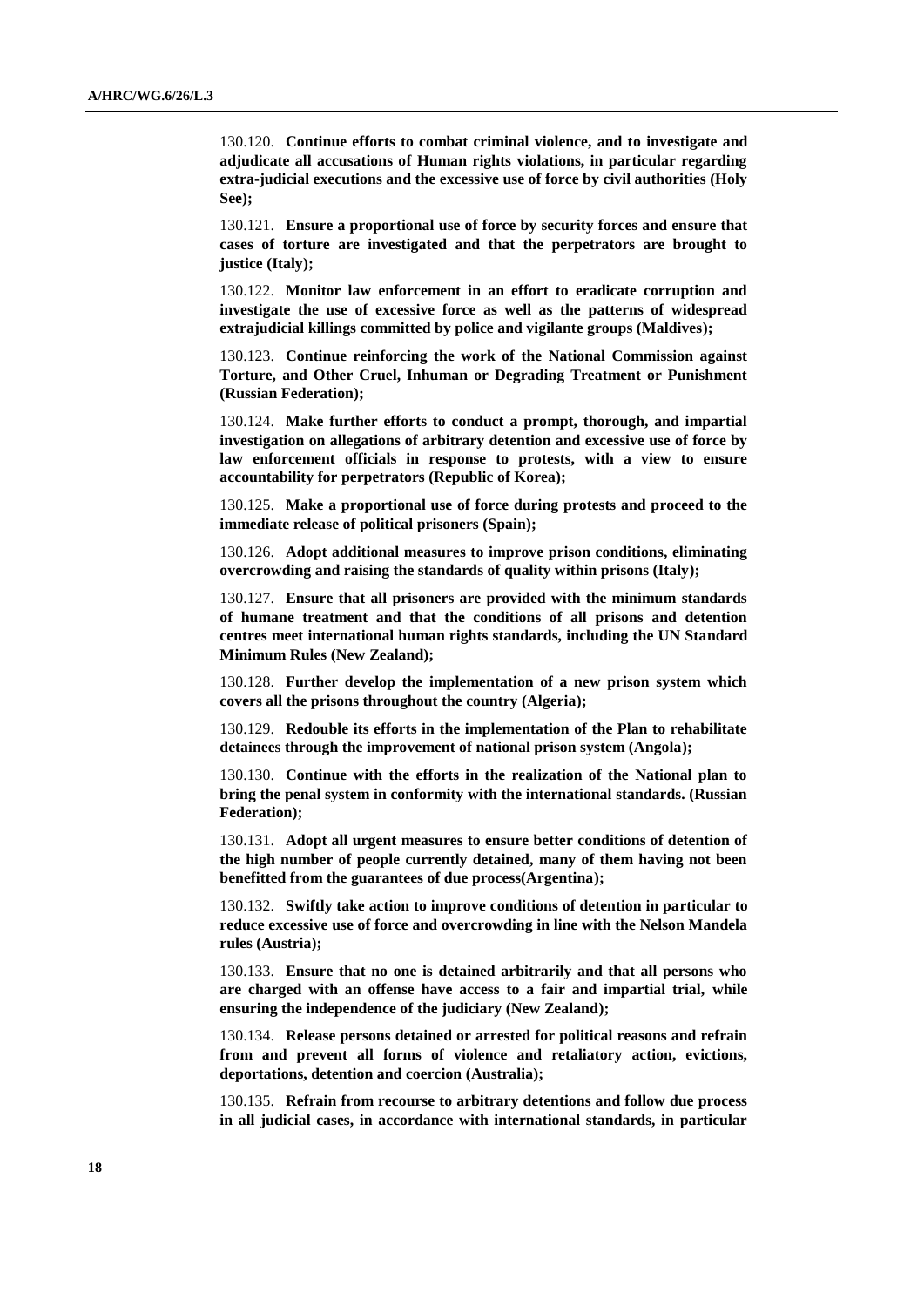130.120. **Continue efforts to combat criminal violence, and to investigate and adjudicate all accusations of Human rights violations, in particular regarding extra-judicial executions and the excessive use of force by civil authorities (Holy See);**

130.121. **Ensure a proportional use of force by security forces and ensure that cases of torture are investigated and that the perpetrators are brought to justice (Italy);**

130.122. **Monitor law enforcement in an effort to eradicate corruption and investigate the use of excessive force as well as the patterns of widespread extrajudicial killings committed by police and vigilante groups (Maldives);**

130.123. **Continue reinforcing the work of the National Commission against Torture, and Other Cruel, Inhuman or Degrading Treatment or Punishment (Russian Federation);**

130.124. **Make further efforts to conduct a prompt, thorough, and impartial investigation on allegations of arbitrary detention and excessive use of force by law enforcement officials in response to protests, with a view to ensure accountability for perpetrators (Republic of Korea);** 

130.125. **Make a proportional use of force during protests and proceed to the immediate release of political prisoners (Spain);**

130.126. **Adopt additional measures to improve prison conditions, eliminating overcrowding and raising the standards of quality within prisons (Italy);**

130.127. **Ensure that all prisoners are provided with the minimum standards of humane treatment and that the conditions of all prisons and detention centres meet international human rights standards, including the UN Standard Minimum Rules (New Zealand);**

130.128. **Further develop the implementation of a new prison system which covers all the prisons throughout the country (Algeria);**

130.129. **Redouble its efforts in the implementation of the Plan to rehabilitate detainees through the improvement of national prison system (Angola);** 

130.130. **Continue with the efforts in the realization of the National plan to bring the penal system in conformity with the international standards. (Russian Federation);**

130.131. **Adopt all urgent measures to ensure better conditions of detention of the high number of people currently detained, many of them having not been benefitted from the guarantees of due process(Argentina);**

130.132. **Swiftly take action to improve conditions of detention in particular to reduce excessive use of force and overcrowding in line with the Nelson Mandela rules (Austria);**

130.133. **Ensure that no one is detained arbitrarily and that all persons who are charged with an offense have access to a fair and impartial trial, while ensuring the independence of the judiciary (New Zealand);**

130.134. **Release persons detained or arrested for political reasons and refrain from and prevent all forms of violence and retaliatory action, evictions, deportations, detention and coercion (Australia);**

130.135. **Refrain from recourse to arbitrary detentions and follow due process in all judicial cases, in accordance with international standards, in particular**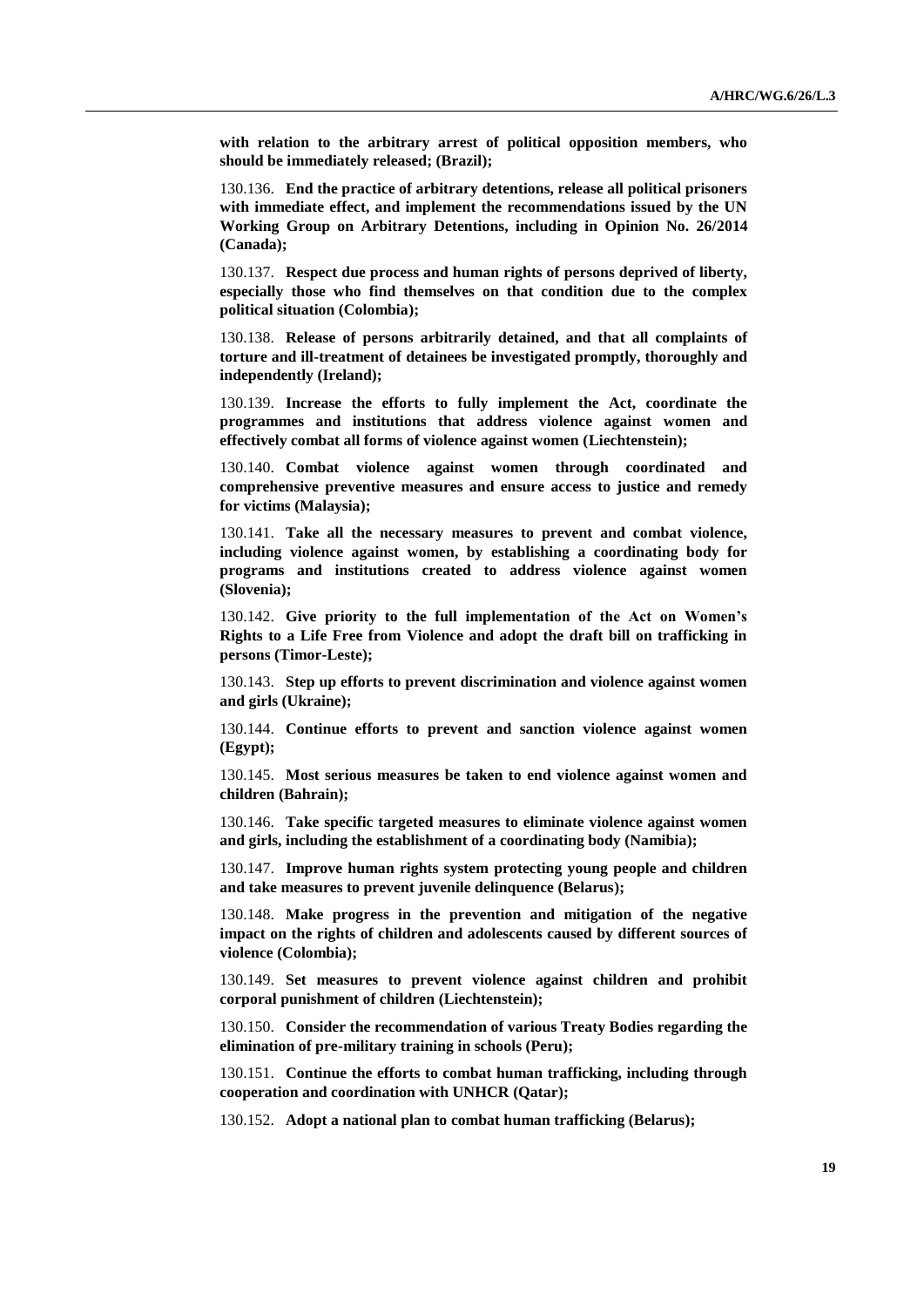**with relation to the arbitrary arrest of political opposition members, who should be immediately released; (Brazil);**

130.136. **End the practice of arbitrary detentions, release all political prisoners with immediate effect, and implement the recommendations issued by the UN Working Group on Arbitrary Detentions, including in Opinion No. 26/2014 (Canada);**

130.137. **Respect due process and human rights of persons deprived of liberty, especially those who find themselves on that condition due to the complex political situation (Colombia);**

130.138. **Release of persons arbitrarily detained, and that all complaints of torture and ill-treatment of detainees be investigated promptly, thoroughly and independently (Ireland);**

130.139. **Increase the efforts to fully implement the Act, coordinate the programmes and institutions that address violence against women and effectively combat all forms of violence against women (Liechtenstein);**

130.140. **Combat violence against women through coordinated and comprehensive preventive measures and ensure access to justice and remedy for victims (Malaysia);**

130.141. **Take all the necessary measures to prevent and combat violence, including violence against women, by establishing a coordinating body for programs and institutions created to address violence against women (Slovenia);**

130.142. **Give priority to the full implementation of the Act on Women's Rights to a Life Free from Violence and adopt the draft bill on trafficking in persons (Timor-Leste);**

130.143. **Step up efforts to prevent discrimination and violence against women and girls (Ukraine);**

130.144. **Continue efforts to prevent and sanction violence against women (Egypt);**

130.145. **Most serious measures be taken to end violence against women and children (Bahrain);**

130.146. **Take specific targeted measures to eliminate violence against women and girls, including the establishment of a coordinating body (Namibia);**

130.147. **Improve human rights system protecting young people and children and take measures to prevent juvenile delinquence (Belarus);**

130.148. **Make progress in the prevention and mitigation of the negative impact on the rights of children and adolescents caused by different sources of violence (Colombia);**

130.149. **Set measures to prevent violence against children and prohibit corporal punishment of children (Liechtenstein);**

130.150. **Consider the recommendation of various Treaty Bodies regarding the elimination of pre-military training in schools (Peru);**

130.151. **Continue the efforts to combat human trafficking, including through cooperation and coordination with UNHCR (Qatar);**

130.152. **Adopt a national plan to combat human trafficking (Belarus);**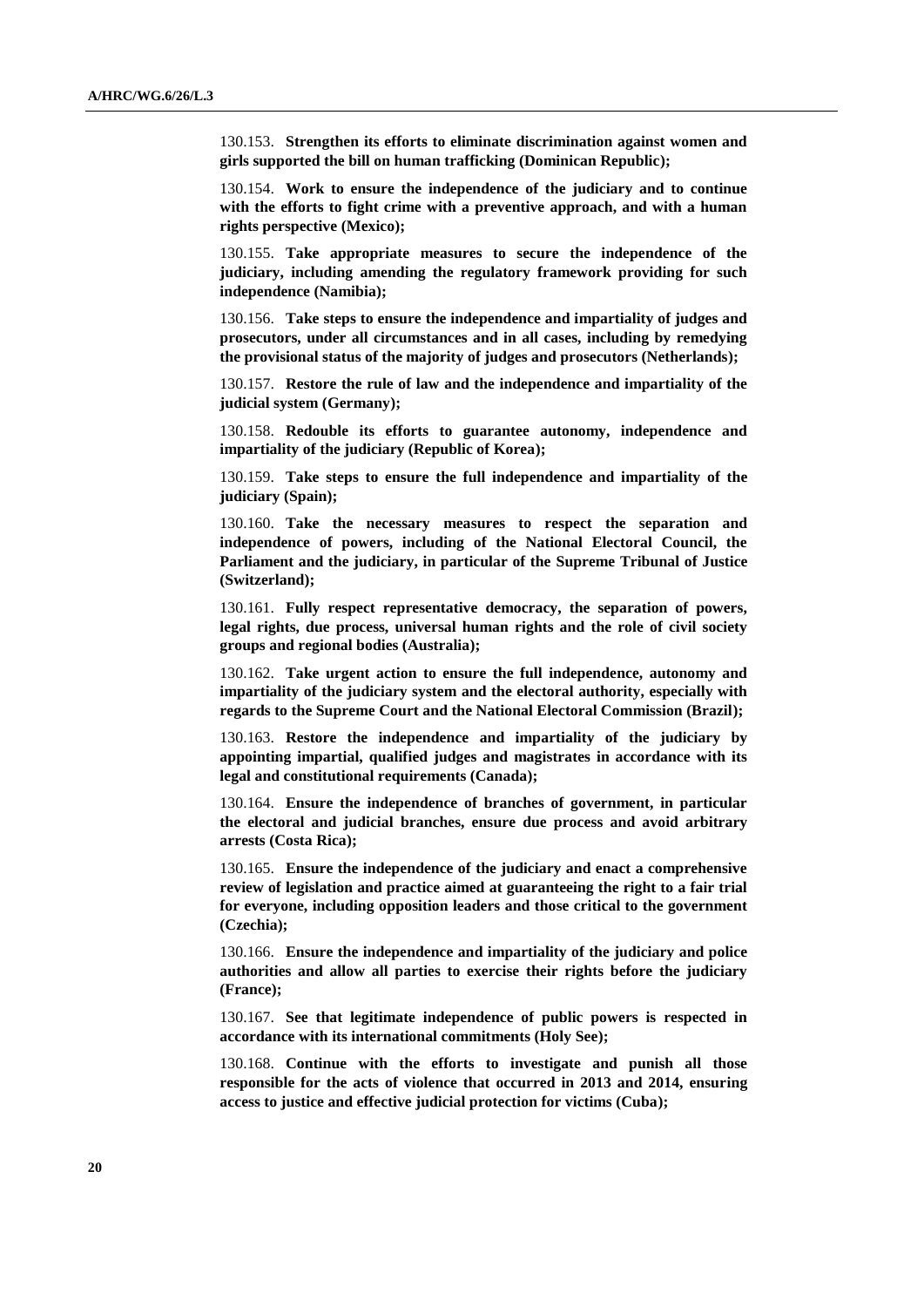130.153. **Strengthen its efforts to eliminate discrimination against women and girls supported the bill on human trafficking (Dominican Republic);**

130.154. **Work to ensure the independence of the judiciary and to continue with the efforts to fight crime with a preventive approach, and with a human rights perspective (Mexico);** 

130.155. **Take appropriate measures to secure the independence of the judiciary, including amending the regulatory framework providing for such independence (Namibia);**

130.156. **Take steps to ensure the independence and impartiality of judges and prosecutors, under all circumstances and in all cases, including by remedying the provisional status of the majority of judges and prosecutors (Netherlands);**

130.157. **Restore the rule of law and the independence and impartiality of the judicial system (Germany);**

130.158. **Redouble its efforts to guarantee autonomy, independence and impartiality of the judiciary (Republic of Korea);**

130.159. **Take steps to ensure the full independence and impartiality of the judiciary (Spain);**

130.160. **Take the necessary measures to respect the separation and independence of powers, including of the National Electoral Council, the Parliament and the judiciary, in particular of the Supreme Tribunal of Justice (Switzerland);**

130.161. **Fully respect representative democracy, the separation of powers, legal rights, due process, universal human rights and the role of civil society groups and regional bodies (Australia);**

130.162. **Take urgent action to ensure the full independence, autonomy and impartiality of the judiciary system and the electoral authority, especially with regards to the Supreme Court and the National Electoral Commission (Brazil);**

130.163. **Restore the independence and impartiality of the judiciary by appointing impartial, qualified judges and magistrates in accordance with its legal and constitutional requirements (Canada);**

130.164. **Ensure the independence of branches of government, in particular the electoral and judicial branches, ensure due process and avoid arbitrary arrests (Costa Rica);**

130.165. **Ensure the independence of the judiciary and enact a comprehensive review of legislation and practice aimed at guaranteeing the right to a fair trial for everyone, including opposition leaders and those critical to the government (Czechia);**

130.166. **Ensure the independence and impartiality of the judiciary and police authorities and allow all parties to exercise their rights before the judiciary (France);**

130.167. **See that legitimate independence of public powers is respected in accordance with its international commitments (Holy See);**

130.168. **Continue with the efforts to investigate and punish all those responsible for the acts of violence that occurred in 2013 and 2014, ensuring access to justice and effective judicial protection for victims (Cuba);**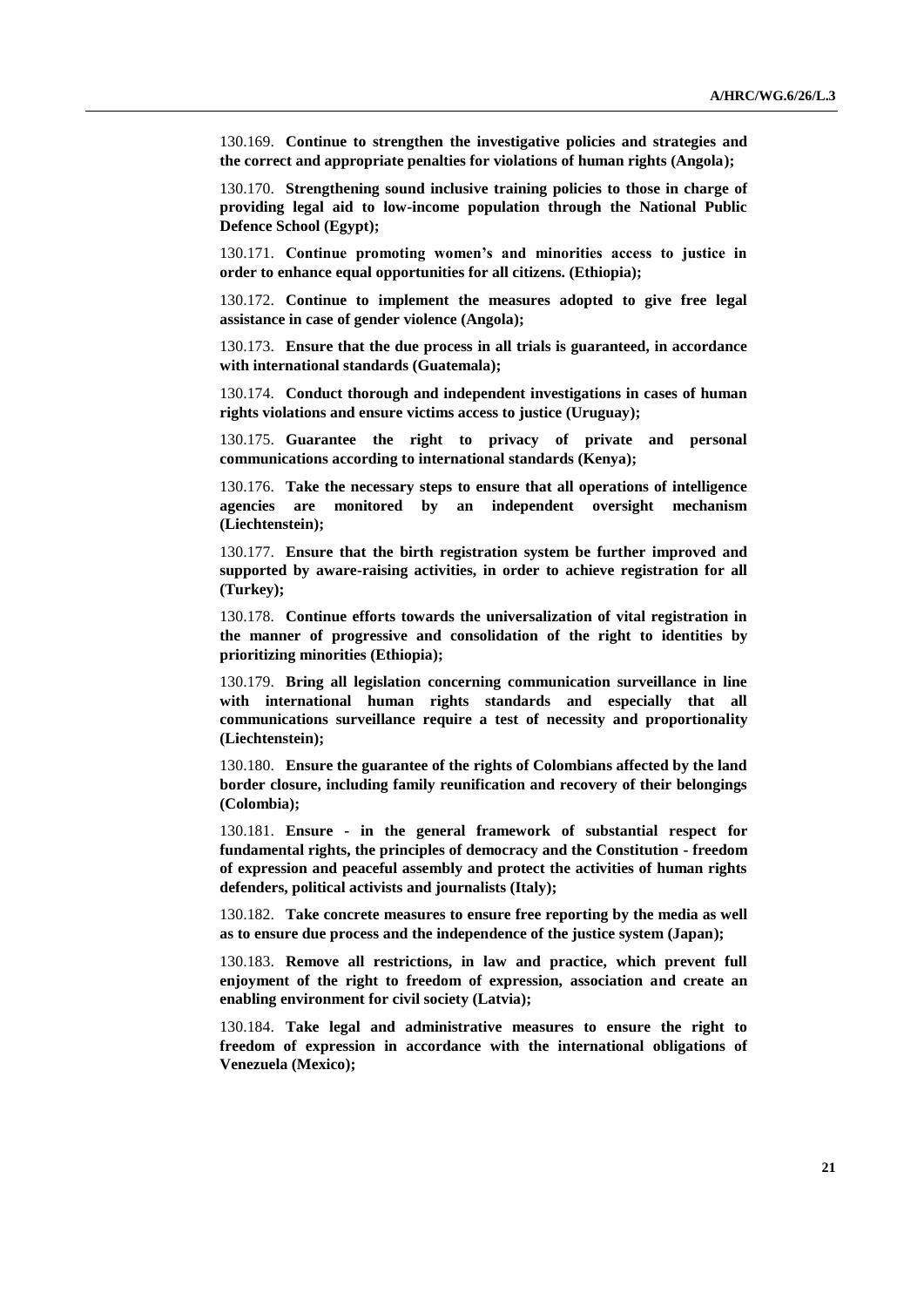130.169. **Continue to strengthen the investigative policies and strategies and the correct and appropriate penalties for violations of human rights (Angola);**

130.170. **Strengthening sound inclusive training policies to those in charge of providing legal aid to low-income population through the National Public Defence School (Egypt);**

130.171. **Continue promoting women's and minorities access to justice in order to enhance equal opportunities for all citizens. (Ethiopia);**

130.172. **Continue to implement the measures adopted to give free legal assistance in case of gender violence (Angola);**

130.173. **Ensure that the due process in all trials is guaranteed, in accordance with international standards (Guatemala);**

130.174. **Conduct thorough and independent investigations in cases of human rights violations and ensure victims access to justice (Uruguay);** 

130.175. **Guarantee the right to privacy of private and personal communications according to international standards (Kenya);**

130.176. **Take the necessary steps to ensure that all operations of intelligence agencies are monitored by an independent oversight mechanism (Liechtenstein);**

130.177. **Ensure that the birth registration system be further improved and supported by aware-raising activities, in order to achieve registration for all (Turkey);**

130.178. **Continue efforts towards the universalization of vital registration in the manner of progressive and consolidation of the right to identities by prioritizing minorities (Ethiopia);**

130.179. **Bring all legislation concerning communication surveillance in line with international human rights standards and especially that all communications surveillance require a test of necessity and proportionality (Liechtenstein);**

130.180. **Ensure the guarantee of the rights of Colombians affected by the land border closure, including family reunification and recovery of their belongings (Colombia);**

130.181. **Ensure - in the general framework of substantial respect for fundamental rights, the principles of democracy and the Constitution - freedom of expression and peaceful assembly and protect the activities of human rights defenders, political activists and journalists (Italy);**

130.182. **Take concrete measures to ensure free reporting by the media as well as to ensure due process and the independence of the justice system (Japan);**

130.183. **Remove all restrictions, in law and practice, which prevent full enjoyment of the right to freedom of expression, association and create an enabling environment for civil society (Latvia);**

130.184. **Take legal and administrative measures to ensure the right to freedom of expression in accordance with the international obligations of Venezuela (Mexico);**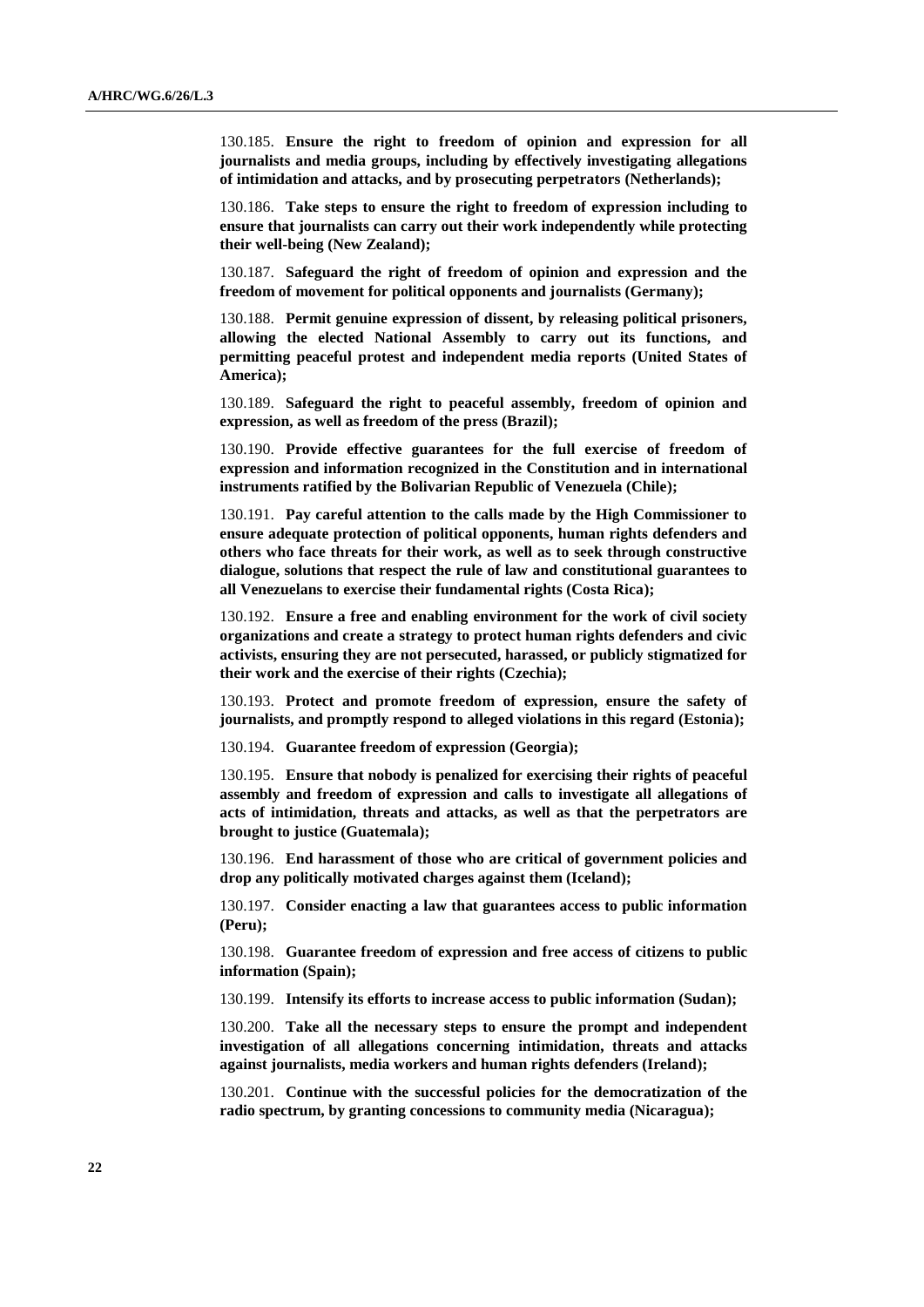130.185. **Ensure the right to freedom of opinion and expression for all journalists and media groups, including by effectively investigating allegations of intimidation and attacks, and by prosecuting perpetrators (Netherlands);**

130.186. **Take steps to ensure the right to freedom of expression including to ensure that journalists can carry out their work independently while protecting their well-being (New Zealand);**

130.187. **Safeguard the right of freedom of opinion and expression and the freedom of movement for political opponents and journalists (Germany);** 

130.188. **Permit genuine expression of dissent, by releasing political prisoners, allowing the elected National Assembly to carry out its functions, and permitting peaceful protest and independent media reports (United States of America);**

130.189. **Safeguard the right to peaceful assembly, freedom of opinion and expression, as well as freedom of the press (Brazil);**

130.190. **Provide effective guarantees for the full exercise of freedom of expression and information recognized in the Constitution and in international instruments ratified by the Bolivarian Republic of Venezuela (Chile);**

130.191. **Pay careful attention to the calls made by the High Commissioner to ensure adequate protection of political opponents, human rights defenders and others who face threats for their work, as well as to seek through constructive dialogue, solutions that respect the rule of law and constitutional guarantees to all Venezuelans to exercise their fundamental rights (Costa Rica);**

130.192. **Ensure a free and enabling environment for the work of civil society organizations and create a strategy to protect human rights defenders and civic activists, ensuring they are not persecuted, harassed, or publicly stigmatized for their work and the exercise of their rights (Czechia);**

130.193. **Protect and promote freedom of expression, ensure the safety of journalists, and promptly respond to alleged violations in this regard (Estonia);**

130.194. **Guarantee freedom of expression (Georgia);**

130.195. **Ensure that nobody is penalized for exercising their rights of peaceful assembly and freedom of expression and calls to investigate all allegations of acts of intimidation, threats and attacks, as well as that the perpetrators are brought to justice (Guatemala);**

130.196. **End harassment of those who are critical of government policies and drop any politically motivated charges against them (Iceland);**

130.197. **Consider enacting a law that guarantees access to public information (Peru);**

130.198. **Guarantee freedom of expression and free access of citizens to public information (Spain);**

130.199. **Intensify its efforts to increase access to public information (Sudan);** 

130.200. **Take all the necessary steps to ensure the prompt and independent investigation of all allegations concerning intimidation, threats and attacks against journalists, media workers and human rights defenders (Ireland);** 

130.201. **Continue with the successful policies for the democratization of the radio spectrum, by granting concessions to community media (Nicaragua);**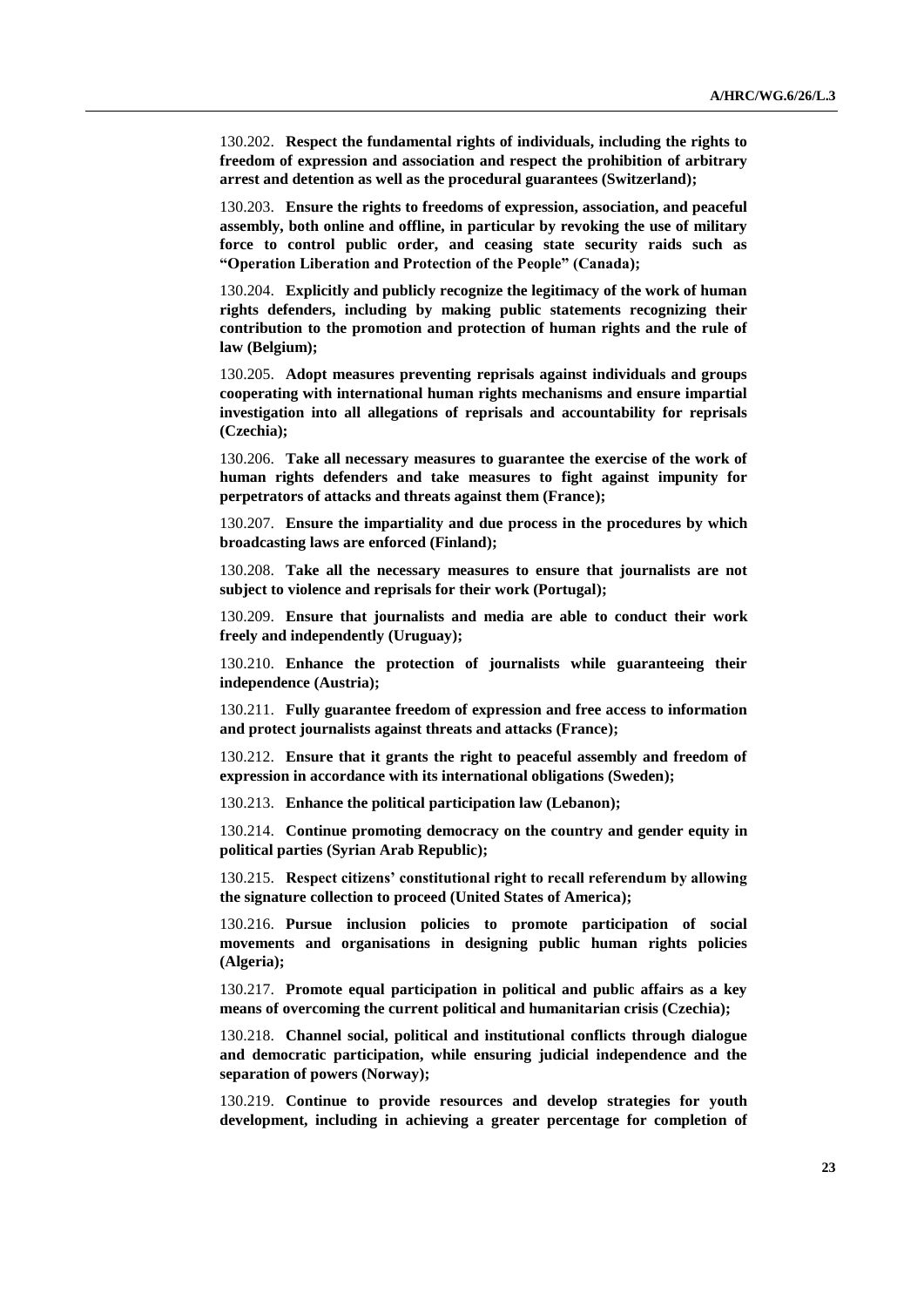130.202. **Respect the fundamental rights of individuals, including the rights to freedom of expression and association and respect the prohibition of arbitrary arrest and detention as well as the procedural guarantees (Switzerland);**

130.203. **Ensure the rights to freedoms of expression, association, and peaceful assembly, both online and offline, in particular by revoking the use of military force to control public order, and ceasing state security raids such as "Operation Liberation and Protection of the People" (Canada);**

130.204. **Explicitly and publicly recognize the legitimacy of the work of human rights defenders, including by making public statements recognizing their contribution to the promotion and protection of human rights and the rule of law (Belgium);**

130.205. **Adopt measures preventing reprisals against individuals and groups cooperating with international human rights mechanisms and ensure impartial investigation into all allegations of reprisals and accountability for reprisals (Czechia);**

130.206. **Take all necessary measures to guarantee the exercise of the work of human rights defenders and take measures to fight against impunity for perpetrators of attacks and threats against them (France);**

130.207. **Ensure the impartiality and due process in the procedures by which broadcasting laws are enforced (Finland);** 

130.208. **Take all the necessary measures to ensure that journalists are not subject to violence and reprisals for their work (Portugal);** 

130.209. **Ensure that journalists and media are able to conduct their work freely and independently (Uruguay);**

130.210. **Enhance the protection of journalists while guaranteeing their independence (Austria);**

130.211. **Fully guarantee freedom of expression and free access to information and protect journalists against threats and attacks (France);**

130.212. **Ensure that it grants the right to peaceful assembly and freedom of expression in accordance with its international obligations (Sweden);** 

130.213. **Enhance the political participation law (Lebanon);**

130.214. **Continue promoting democracy on the country and gender equity in political parties (Syrian Arab Republic);**

130.215. **Respect citizens' constitutional right to recall referendum by allowing the signature collection to proceed (United States of America);**

130.216. **Pursue inclusion policies to promote participation of social movements and organisations in designing public human rights policies (Algeria);**

130.217. **Promote equal participation in political and public affairs as a key means of overcoming the current political and humanitarian crisis (Czechia);**

130.218. **Channel social, political and institutional conflicts through dialogue and democratic participation, while ensuring judicial independence and the separation of powers (Norway);** 

130.219. **Continue to provide resources and develop strategies for youth development, including in achieving a greater percentage for completion of**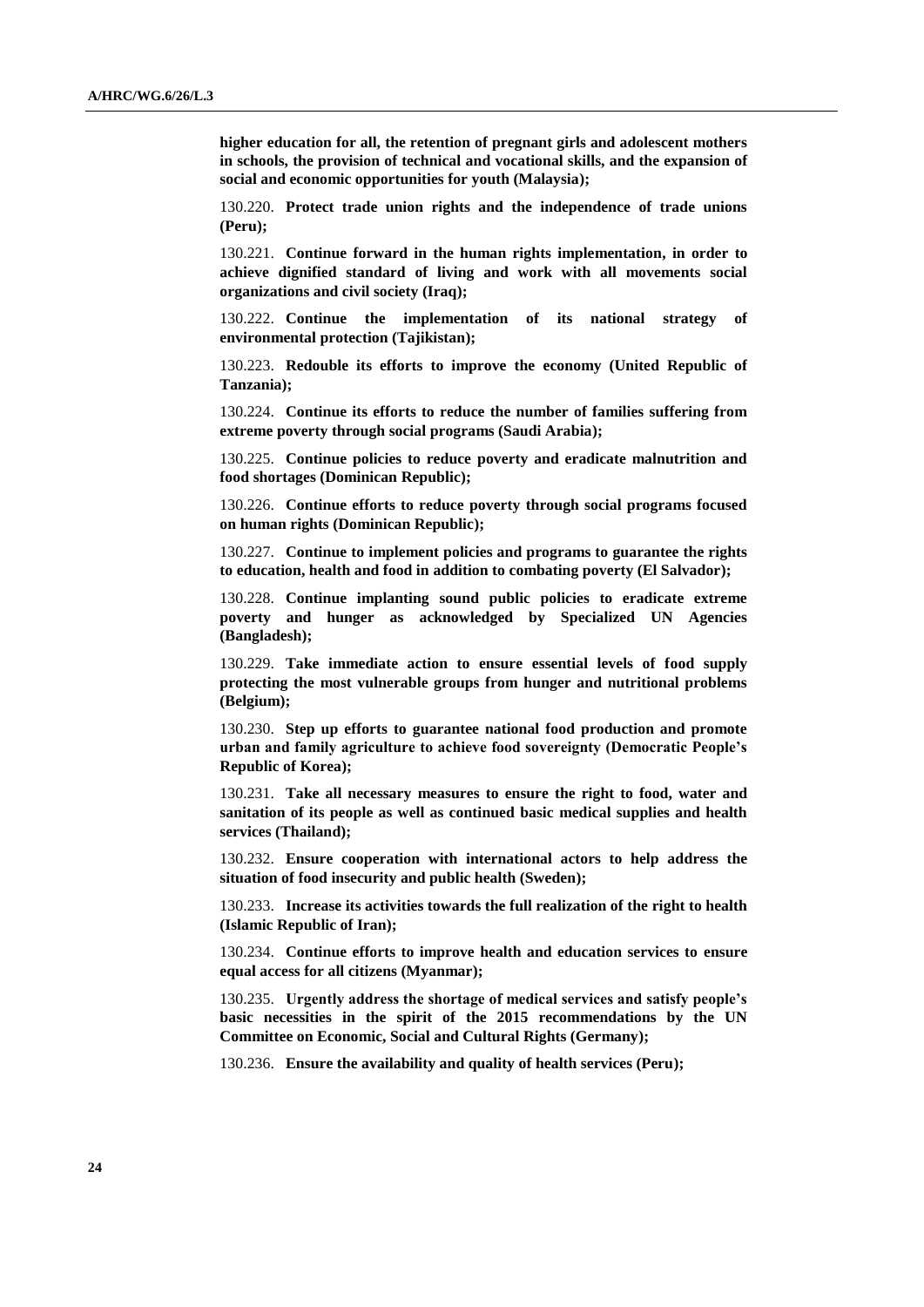**higher education for all, the retention of pregnant girls and adolescent mothers in schools, the provision of technical and vocational skills, and the expansion of social and economic opportunities for youth (Malaysia);**

130.220. **Protect trade union rights and the independence of trade unions (Peru);**

130.221. **Continue forward in the human rights implementation, in order to achieve dignified standard of living and work with all movements social organizations and civil society (Iraq);**

130.222. **Continue the implementation of its national strategy of environmental protection (Tajikistan);**

130.223. **Redouble its efforts to improve the economy (United Republic of Tanzania);**

130.224. **Continue its efforts to reduce the number of families suffering from extreme poverty through social programs (Saudi Arabia);** 

130.225. **Continue policies to reduce poverty and eradicate malnutrition and food shortages (Dominican Republic);**

130.226. **Continue efforts to reduce poverty through social programs focused on human rights (Dominican Republic);**

130.227. **Continue to implement policies and programs to guarantee the rights to education, health and food in addition to combating poverty (El Salvador);**

130.228. **Continue implanting sound public policies to eradicate extreme poverty and hunger as acknowledged by Specialized UN Agencies (Bangladesh);** 

130.229. **Take immediate action to ensure essential levels of food supply protecting the most vulnerable groups from hunger and nutritional problems (Belgium);**

130.230. **Step up efforts to guarantee national food production and promote urban and family agriculture to achieve food sovereignty (Democratic People's Republic of Korea);**

130.231. **Take all necessary measures to ensure the right to food, water and sanitation of its people as well as continued basic medical supplies and health services (Thailand);** 

130.232. **Ensure cooperation with international actors to help address the situation of food insecurity and public health (Sweden);** 

130.233. **Increase its activities towards the full realization of the right to health (Islamic Republic of Iran);**

130.234. **Continue efforts to improve health and education services to ensure equal access for all citizens (Myanmar);**

130.235. **Urgently address the shortage of medical services and satisfy people's basic necessities in the spirit of the 2015 recommendations by the UN Committee on Economic, Social and Cultural Rights (Germany);**

130.236. **Ensure the availability and quality of health services (Peru);**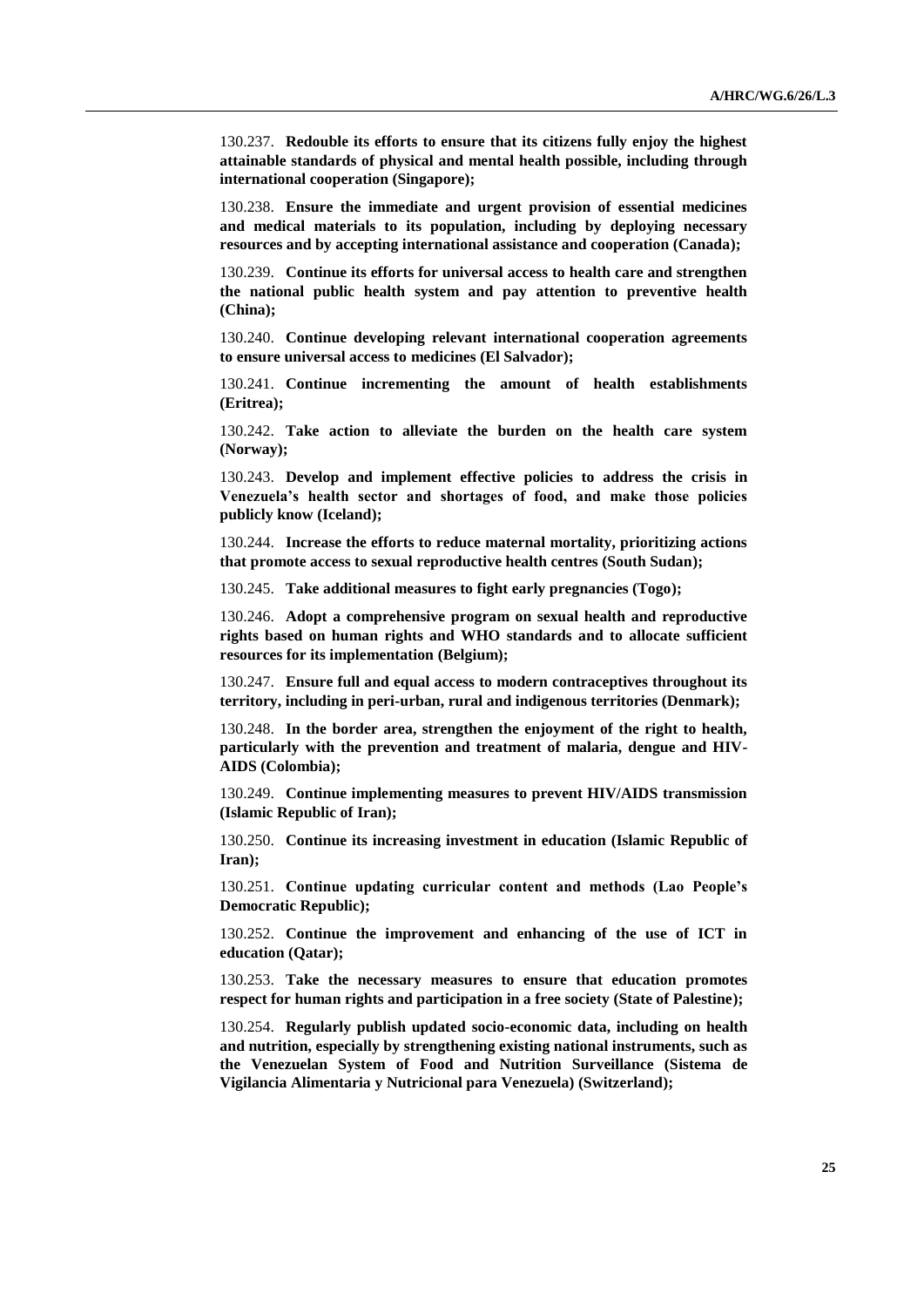130.237. **Redouble its efforts to ensure that its citizens fully enjoy the highest attainable standards of physical and mental health possible, including through international cooperation (Singapore);** 

130.238. **Ensure the immediate and urgent provision of essential medicines and medical materials to its population, including by deploying necessary resources and by accepting international assistance and cooperation (Canada);**

130.239. **Continue its efforts for universal access to health care and strengthen the national public health system and pay attention to preventive health (China);**

130.240. **Continue developing relevant international cooperation agreements to ensure universal access to medicines (El Salvador);**

130.241. **Continue incrementing the amount of health establishments (Eritrea);**

130.242. **Take action to alleviate the burden on the health care system (Norway);** 

130.243. **Develop and implement effective policies to address the crisis in Venezuela's health sector and shortages of food, and make those policies publicly know (Iceland);**

130.244. **Increase the efforts to reduce maternal mortality, prioritizing actions that promote access to sexual reproductive health centres (South Sudan);** 

130.245. **Take additional measures to fight early pregnancies (Togo);**

130.246. **Adopt a comprehensive program on sexual health and reproductive rights based on human rights and WHO standards and to allocate sufficient resources for its implementation (Belgium);**

130.247. **Ensure full and equal access to modern contraceptives throughout its territory, including in peri-urban, rural and indigenous territories (Denmark);**

130.248. **In the border area, strengthen the enjoyment of the right to health, particularly with the prevention and treatment of malaria, dengue and HIV-AIDS (Colombia);**

130.249. **Continue implementing measures to prevent HIV/AIDS transmission (Islamic Republic of Iran);**

130.250. **Continue its increasing investment in education (Islamic Republic of Iran);**

130.251. **Continue updating curricular content and methods (Lao People's Democratic Republic);**

130.252. **Continue the improvement and enhancing of the use of ICT in education (Qatar);** 

130.253. **Take the necessary measures to ensure that education promotes respect for human rights and participation in a free society (State of Palestine);**

130.254. **Regularly publish updated socio-economic data, including on health and nutrition, especially by strengthening existing national instruments, such as the Venezuelan System of Food and Nutrition Surveillance (Sistema de Vigilancia Alimentaria y Nutricional para Venezuela) (Switzerland);**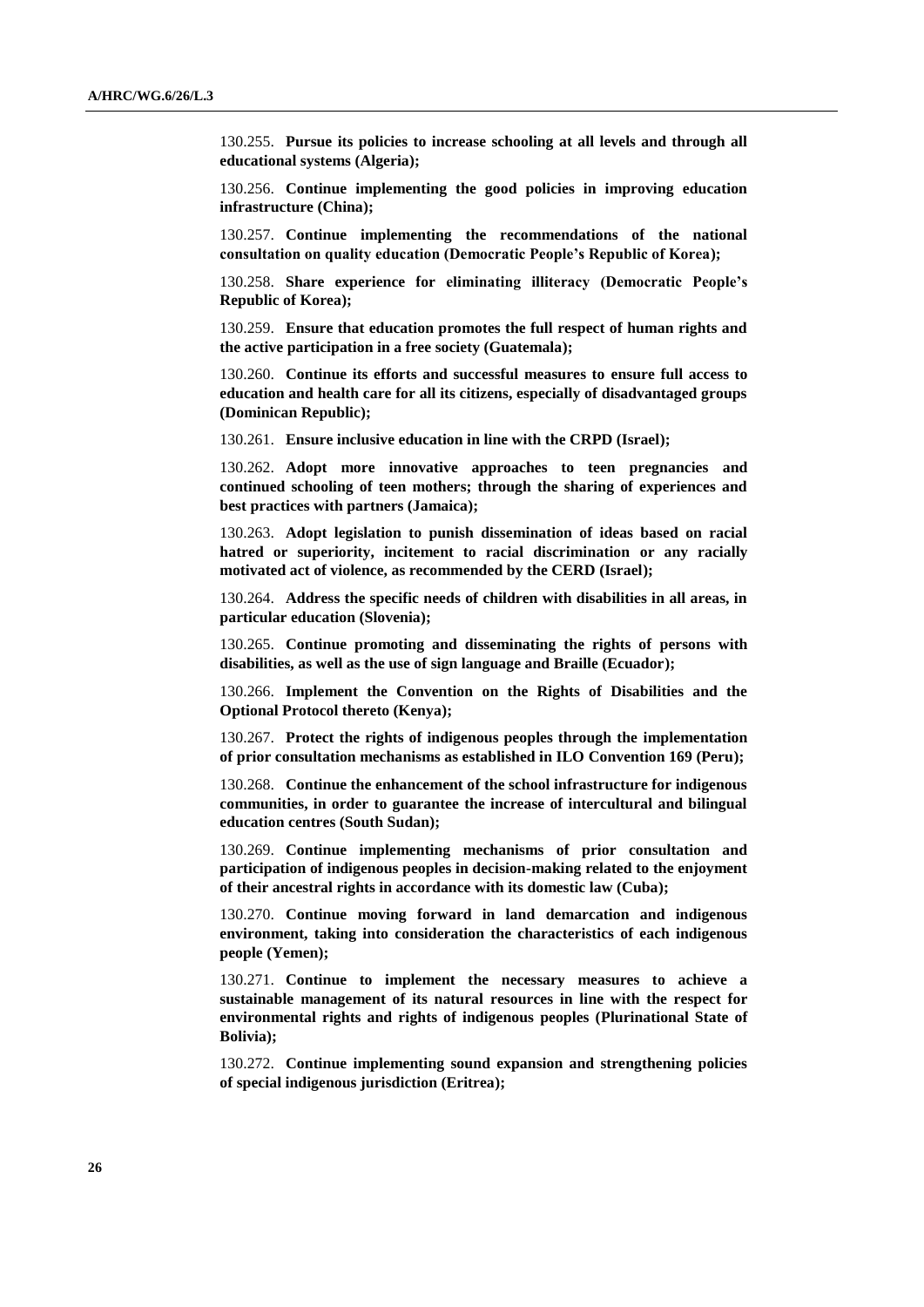130.255. **Pursue its policies to increase schooling at all levels and through all educational systems (Algeria);**

130.256. **Continue implementing the good policies in improving education infrastructure (China);**

130.257. **Continue implementing the recommendations of the national consultation on quality education (Democratic People's Republic of Korea);**

130.258. **Share experience for eliminating illiteracy (Democratic People's Republic of Korea);**

130.259. **Ensure that education promotes the full respect of human rights and the active participation in a free society (Guatemala);**

130.260. **Continue its efforts and successful measures to ensure full access to education and health care for all its citizens, especially of disadvantaged groups (Dominican Republic);**

130.261. **Ensure inclusive education in line with the CRPD (Israel);**

130.262. **Adopt more innovative approaches to teen pregnancies and continued schooling of teen mothers; through the sharing of experiences and best practices with partners (Jamaica);**

130.263. **Adopt legislation to punish dissemination of ideas based on racial hatred or superiority, incitement to racial discrimination or any racially motivated act of violence, as recommended by the CERD (Israel);**

130.264. **Address the specific needs of children with disabilities in all areas, in particular education (Slovenia);** 

130.265. **Continue promoting and disseminating the rights of persons with disabilities, as well as the use of sign language and Braille (Ecuador);**

130.266. **Implement the Convention on the Rights of Disabilities and the Optional Protocol thereto (Kenya);**

130.267. **Protect the rights of indigenous peoples through the implementation of prior consultation mechanisms as established in ILO Convention 169 (Peru);**

130.268. **Continue the enhancement of the school infrastructure for indigenous communities, in order to guarantee the increase of intercultural and bilingual education centres (South Sudan);** 

130.269. **Continue implementing mechanisms of prior consultation and participation of indigenous peoples in decision-making related to the enjoyment of their ancestral rights in accordance with its domestic law (Cuba);**

130.270. **Continue moving forward in land demarcation and indigenous environment, taking into consideration the characteristics of each indigenous people (Yemen);**

130.271. **Continue to implement the necessary measures to achieve a sustainable management of its natural resources in line with the respect for environmental rights and rights of indigenous peoples (Plurinational State of Bolivia);** 

130.272. **Continue implementing sound expansion and strengthening policies of special indigenous jurisdiction (Eritrea);**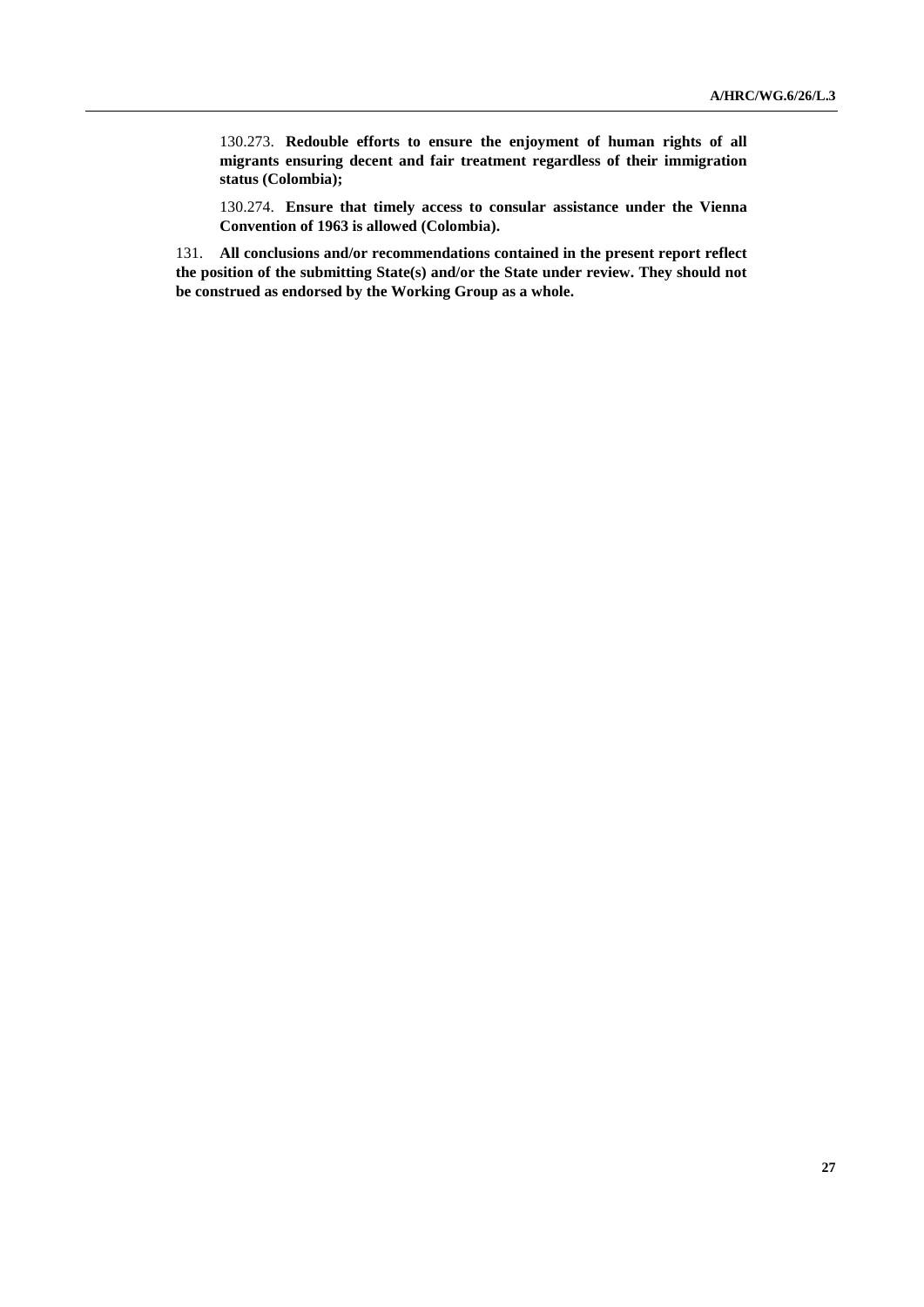130.273. **Redouble efforts to ensure the enjoyment of human rights of all migrants ensuring decent and fair treatment regardless of their immigration status (Colombia);**

130.274. **Ensure that timely access to consular assistance under the Vienna Convention of 1963 is allowed (Colombia).**

131. **All conclusions and/or recommendations contained in the present report reflect the position of the submitting State(s) and/or the State under review. They should not be construed as endorsed by the Working Group as a whole.**